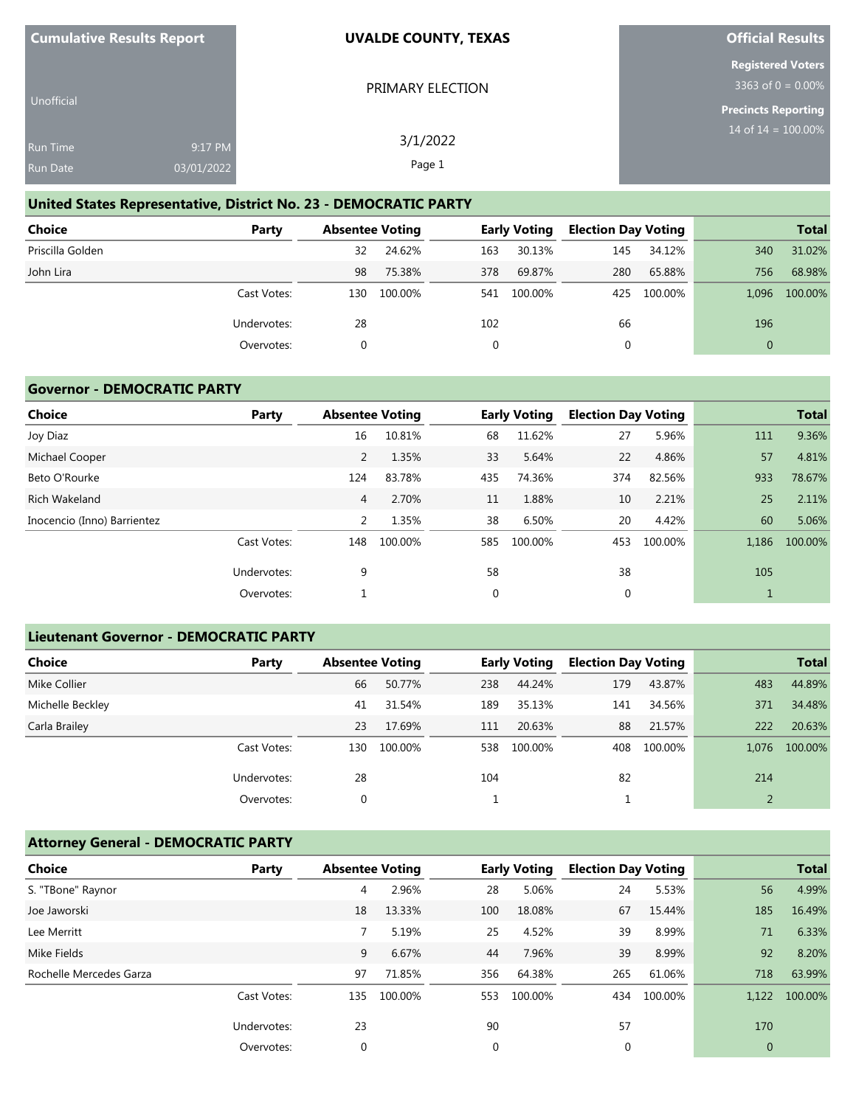| <b>Cumulative Results Report</b>   |                       | <b>UVALDE COUNTY, TEXAS</b> | <b>Official Results</b>                          |
|------------------------------------|-----------------------|-----------------------------|--------------------------------------------------|
|                                    |                       | PRIMARY ELECTION            | <b>Registered Voters</b><br>3363 of 0 = $0.00\%$ |
| <b>Unofficial</b>                  |                       |                             | Precincts Reporting                              |
| <b>Run Time</b><br><b>Run Date</b> | 9:17 PM<br>03/01/2022 | 3/1/2022<br>Page 1          | 14 of $14 = 100.00\%$                            |
|                                    |                       |                             |                                                  |

#### **United States Representative, District No. 23 - DEMOCRATIC PARTY**

| Choice           | Party       | <b>Absentee Voting</b> |         |     | <b>Early Voting</b> | <b>Election Day Voting</b> |             |          | <b>Total</b> |
|------------------|-------------|------------------------|---------|-----|---------------------|----------------------------|-------------|----------|--------------|
| Priscilla Golden |             | 32                     | 24.62%  | 163 | 30.13%              | 145                        | 34.12%      | 340      | 31.02%       |
| John Lira        |             | 98                     | 75.38%  | 378 | 69.87%              | 280                        | 65.88%      | 756      | 68.98%       |
|                  | Cast Votes: | 130                    | 100.00% |     | 541 100.00%         |                            | 425 100.00% | 1.096    | 100.00%      |
|                  | Undervotes: | 28                     |         | 102 |                     | 66                         |             | 196      |              |
|                  | Overvotes:  |                        |         |     |                     | 0                          |             | $\Omega$ |              |

## **Governor - DEMOCRATIC PARTY**

| <b>Choice</b>               | Party       | <b>Absentee Voting</b> |         |     | <b>Early Voting</b> | <b>Election Day Voting</b> |         |       | <b>Total</b> |
|-----------------------------|-------------|------------------------|---------|-----|---------------------|----------------------------|---------|-------|--------------|
| Joy Diaz                    |             | 16                     | 10.81%  | 68  | 11.62%              | 27                         | 5.96%   | 111   | 9.36%        |
| Michael Cooper              |             | 2                      | 1.35%   | 33  | 5.64%               | 22                         | 4.86%   | 57    | 4.81%        |
| Beto O'Rourke               |             | 124                    | 83.78%  | 435 | 74.36%              | 374                        | 82.56%  | 933   | 78.67%       |
| Rich Wakeland               |             | $\overline{4}$         | 2.70%   | 11  | 1.88%               | 10                         | 2.21%   | 25    | 2.11%        |
| Inocencio (Inno) Barrientez |             | 2                      | 1.35%   | 38  | 6.50%               | 20                         | 4.42%   | 60    | 5.06%        |
|                             | Cast Votes: | 148                    | 100.00% | 585 | 100.00%             | 453                        | 100.00% | 1,186 | 100.00%      |
|                             | Undervotes: | 9                      |         | 58  |                     | 38                         |         | 105   |              |
|                             | Overvotes:  |                        |         | 0   |                     | 0                          |         |       |              |
|                             |             |                        |         |     |                     |                            |         |       |              |

## **Lieutenant Governor - DEMOCRATIC PARTY**

| <b>Choice</b>    | Party       | <b>Absentee Voting</b> |         |     | <b>Early Voting</b> | <b>Election Day Voting</b> |         |       | <b>Total</b> |
|------------------|-------------|------------------------|---------|-----|---------------------|----------------------------|---------|-------|--------------|
| Mike Collier     |             | 66                     | 50.77%  | 238 | 44.24%              | 179                        | 43.87%  | 483   | 44.89%       |
| Michelle Beckley |             | 41                     | 31.54%  | 189 | 35.13%              | 141                        | 34.56%  | 371   | 34.48%       |
| Carla Brailey    |             | 23                     | 17.69%  | 111 | 20.63%              | 88                         | 21.57%  | 222   | 20.63%       |
|                  | Cast Votes: | 130                    | 100.00% | 538 | 100.00%             | 408                        | 100.00% | 1.076 | 100.00%      |
|                  | Undervotes: | 28                     |         | 104 |                     | 82                         |         | 214   |              |
|                  | Overvotes:  | 0                      |         |     |                     |                            |         |       |              |

#### **Attorney General - DEMOCRATIC PARTY**

| <b>Choice</b>           | Party       | <b>Absentee Voting</b> |         |     | <b>Early Voting</b> | <b>Election Day Voting</b> |         |              | <b>Total</b> |
|-------------------------|-------------|------------------------|---------|-----|---------------------|----------------------------|---------|--------------|--------------|
| S. "TBone" Raynor       |             | 4                      | 2.96%   | 28  | 5.06%               | 24                         | 5.53%   | 56           | 4.99%        |
| Joe Jaworski            |             | 18                     | 13.33%  | 100 | 18.08%              | 67                         | 15.44%  | 185          | 16.49%       |
| Lee Merritt             |             |                        | 5.19%   | 25  | 4.52%               | 39                         | 8.99%   | 71           | 6.33%        |
| Mike Fields             |             | 9                      | 6.67%   | 44  | 7.96%               | 39                         | 8.99%   | 92           | 8.20%        |
| Rochelle Mercedes Garza |             | 97                     | 71.85%  | 356 | 64.38%              | 265                        | 61.06%  | 718          | 63.99%       |
|                         | Cast Votes: | 135                    | 100.00% | 553 | 100.00%             | 434                        | 100.00% | 1.122        | 100.00%      |
|                         | Undervotes: | 23                     |         | 90  |                     | 57                         |         | 170          |              |
|                         | Overvotes:  | $\mathbf 0$            |         | 0   |                     | 0                          |         | $\mathbf{0}$ |              |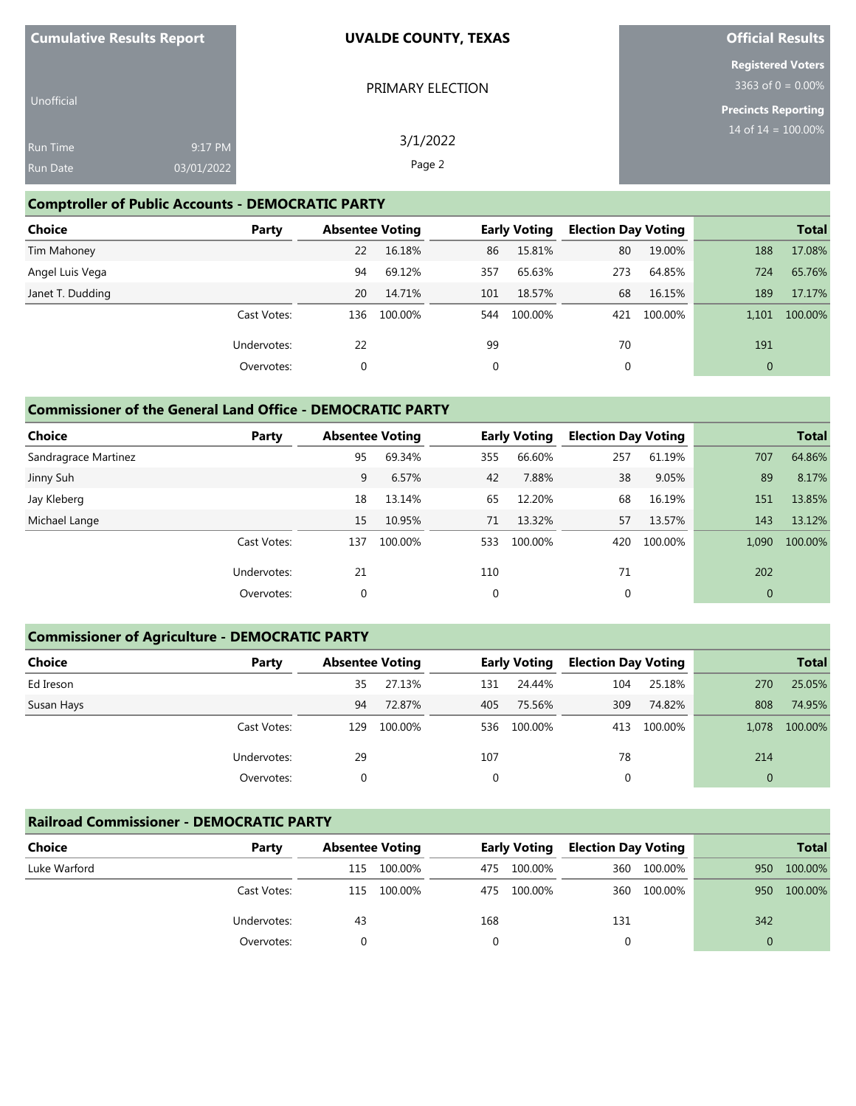| <b>Cumulative Results Report</b>   |                       | <b>UVALDE COUNTY, TEXAS</b> | <b>Official Results</b>                       |
|------------------------------------|-----------------------|-----------------------------|-----------------------------------------------|
|                                    |                       | PRIMARY ELECTION            | <b>Registered Voters</b><br>3363 of 0 = 0.00% |
| Unofficial                         |                       |                             | <b>Precincts Reporting</b>                    |
| <b>Run Time</b><br><b>Run Date</b> | 9:17 PM<br>03/01/2022 | 3/1/2022<br>Page 2          | 14 of $14 = 100.00\%$                         |
|                                    |                       |                             |                                               |

#### **Comptroller of Public Accounts - DEMOCRATIC PARTY**

| <b>Choice</b>    | Party       | <b>Absentee Voting</b> |         |     | <b>Early Voting</b> | <b>Election Day Voting</b> |         |              | <b>Total</b> |
|------------------|-------------|------------------------|---------|-----|---------------------|----------------------------|---------|--------------|--------------|
| Tim Mahoney      |             | 22                     | 16.18%  | 86  | 15.81%              | 80                         | 19.00%  | 188          | 17.08%       |
| Angel Luis Vega  |             | 94                     | 69.12%  | 357 | 65.63%              | 273                        | 64.85%  | 724          | 65.76%       |
| Janet T. Dudding |             | 20                     | 14.71%  | 101 | 18.57%              | 68                         | 16.15%  | 189          | 17.17%       |
|                  | Cast Votes: | 136                    | 100.00% | 544 | 100.00%             | 421                        | 100.00% | 1,101        | 100.00%      |
|                  | Undervotes: | 22                     |         | 99  |                     | 70                         |         | 191          |              |
|                  | Overvotes:  | 0                      |         | 0   |                     | 0                          |         | $\mathbf{0}$ |              |

#### **Commissioner of the General Land Office - DEMOCRATIC PARTY**

| <b>Choice</b>        | Party       | <b>Absentee Voting</b> |         |     | <b>Early Voting</b> | <b>Election Day Voting</b> |         |              | <b>Total</b> |
|----------------------|-------------|------------------------|---------|-----|---------------------|----------------------------|---------|--------------|--------------|
| Sandragrace Martinez |             | 95                     | 69.34%  | 355 | 66.60%              | 257                        | 61.19%  | 707          | 64.86%       |
| Jinny Suh            |             | 9                      | 6.57%   | 42  | 7.88%               | 38                         | 9.05%   | 89           | 8.17%        |
| Jay Kleberg          |             | 18                     | 13.14%  | 65  | 12.20%              | 68                         | 16.19%  | 151          | 13.85%       |
| Michael Lange        |             | 15                     | 10.95%  | 71  | 13.32%              | 57                         | 13.57%  | 143          | 13.12%       |
|                      | Cast Votes: | 137                    | 100.00% | 533 | 100.00%             | 420                        | 100.00% | 1.090        | 100.00%      |
|                      | Undervotes: | 21                     |         | 110 |                     | 71                         |         | 202          |              |
|                      | Overvotes:  | 0                      |         | 0   |                     | 0                          |         | $\mathbf{0}$ |              |

#### **Commissioner of Agriculture - DEMOCRATIC PARTY**

| <b>Choice</b> | Party       | <b>Absentee Voting</b> |         |     | <b>Early Voting</b> | <b>Election Day Voting</b> |         |          | <b>Total</b> |
|---------------|-------------|------------------------|---------|-----|---------------------|----------------------------|---------|----------|--------------|
| Ed Ireson     |             | 35                     | 27.13%  | 131 | 24.44%              | 104                        | 25.18%  | 270      | 25.05%       |
| Susan Hays    |             | 94                     | 72.87%  | 405 | 75.56%              | 309                        | 74.82%  | 808      | 74.95%       |
|               | Cast Votes: | 129                    | 100.00% | 536 | 100.00%             | 413                        | 100.00% | 1.078    | 100.00%      |
|               | Undervotes: | 29                     |         | 107 |                     | 78                         |         | 214      |              |
|               | Overvotes:  | 0                      |         | 0   |                     | 0                          |         | $\Omega$ |              |

#### **Railroad Commissioner - DEMOCRATIC PARTY**

| <b>Choice</b> | Party       | <b>Absentee Voting</b> |         |     | <b>Early Voting</b> | <b>Election Day Voting</b> |         |     | <b>Total</b> |
|---------------|-------------|------------------------|---------|-----|---------------------|----------------------------|---------|-----|--------------|
| Luke Warford  |             | 115                    | 100.00% | 475 | 100.00%             | 360                        | 100.00% | 950 | 100.00%      |
|               | Cast Votes: | 115                    | 100.00% | 475 | 100.00%             | 360                        | 100.00% | 950 | 100.00%      |
|               | Undervotes: | 43                     |         | 168 |                     | 131                        |         | 342 |              |
|               | Overvotes:  |                        |         |     |                     |                            |         | 0   |              |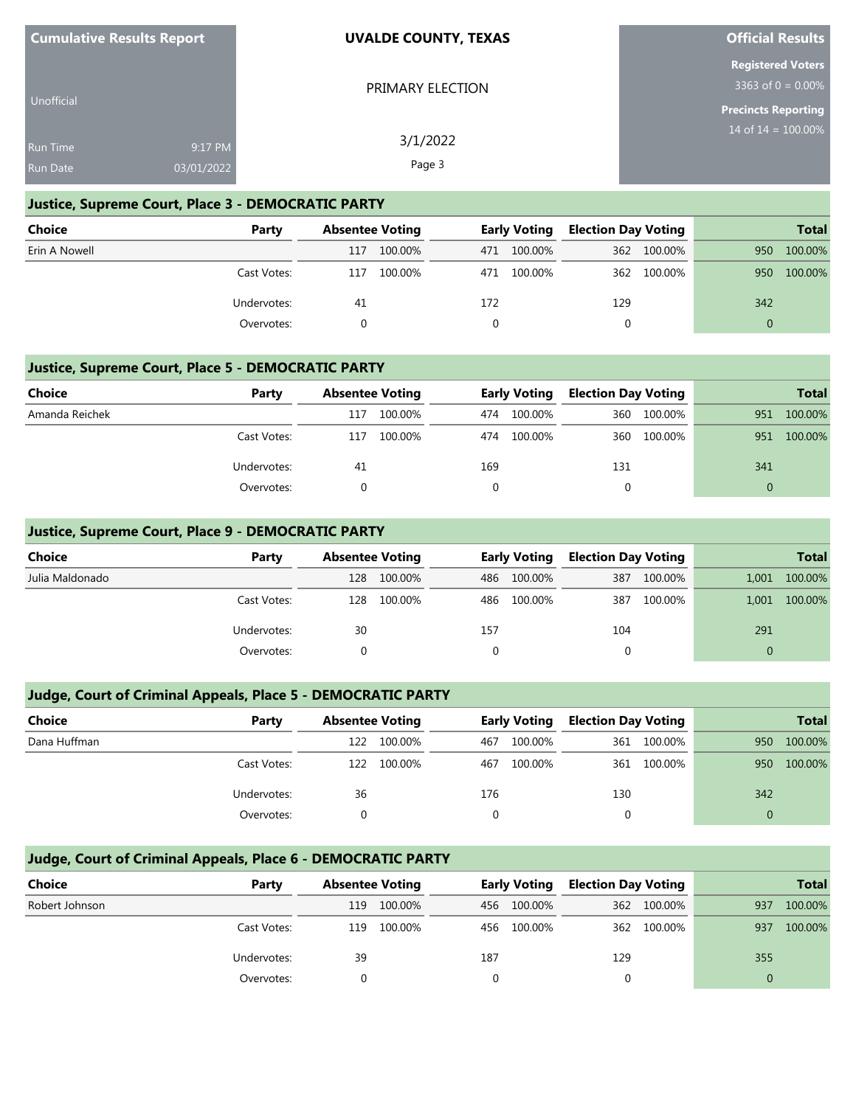| <b>Cumulative Results Report</b> | <b>UVALDE COUNTY, TEXAS</b> | <b>Official Results</b>                             |
|----------------------------------|-----------------------------|-----------------------------------------------------|
|                                  | PRIMARY ELECTION            | <b>Registered Voters</b><br>3363 of $0 = 0.00\%$    |
| Unofficial                       |                             | <b>Precincts Reporting</b><br>14 of $14 = 100.00\%$ |
| 9:17 PM<br><b>Run Time</b>       | 3/1/2022                    |                                                     |
| Run Date<br>03/01/2022           | Page 3                      |                                                     |

#### **Justice, Supreme Court, Place 3 - DEMOCRATIC PARTY**

| <b>Choice</b> | Party       |     | <b>Absentee Voting</b> |     | <b>Early Voting</b> | <b>Election Day Voting</b> |             |     | <b>Total</b> |
|---------------|-------------|-----|------------------------|-----|---------------------|----------------------------|-------------|-----|--------------|
| Erin A Nowell |             | 117 | 100.00%                | 471 | 100.00%             |                            | 362 100.00% | 950 | 100.00%      |
|               | Cast Votes: | 117 | 100.00%                | 471 | 100.00%             | 362                        | 100.00%     | 950 | 100.00%      |
|               | Undervotes: | 41  |                        | 172 |                     | 129                        |             | 342 |              |
|               | Overvotes:  |     |                        |     |                     |                            |             |     |              |

#### **Justice, Supreme Court, Place 5 - DEMOCRATIC PARTY**

| <b>Choice</b>  | Party       | <b>Absentee Voting</b> |         |     | <b>Early Voting</b> | <b>Election Day Voting</b> |         |     | <b>Total</b> |
|----------------|-------------|------------------------|---------|-----|---------------------|----------------------------|---------|-----|--------------|
| Amanda Reichek |             | 117                    | 100.00% | 474 | 100.00%             | 360                        | 100.00% | 951 | 100.00%      |
|                | Cast Votes: | 117                    | 100.00% | 474 | 100.00%             | 360                        | 100.00% | 951 | 100.00%      |
|                | Undervotes: | 41                     |         | 169 |                     | 131                        |         | 341 |              |
|                | Overvotes:  |                        |         |     |                     |                            |         |     |              |

#### **Justice, Supreme Court, Place 9 - DEMOCRATIC PARTY**

| Choice          | Party       | <b>Absentee Voting</b> |         |     | <b>Early Voting</b> | <b>Election Day Voting</b> |         |          | <b>Total</b> |
|-----------------|-------------|------------------------|---------|-----|---------------------|----------------------------|---------|----------|--------------|
| Julia Maldonado |             | 128                    | 100.00% | 486 | 100.00%             | 387                        | 100.00% | 1,001    | 100.00%      |
|                 | Cast Votes: | 128                    | 100.00% | 486 | 100.00%             | 387                        | 100.00% | 1,001    | 100.00%      |
|                 | Undervotes: | 30                     |         | 157 |                     | 104                        |         | 291      |              |
|                 | Overvotes:  |                        |         | 0   |                     |                            |         | $\Omega$ |              |

#### **Judge, Court of Criminal Appeals, Place 5 - DEMOCRATIC PARTY**

| Choice       | Party       | <b>Absentee Voting</b> |         |     | <b>Early Voting</b> | <b>Election Day Voting</b> |         |     | <b>Total</b> |
|--------------|-------------|------------------------|---------|-----|---------------------|----------------------------|---------|-----|--------------|
| Dana Huffman |             | 122                    | 100.00% | 467 | 100.00%             | 361                        | 100.00% | 950 | 100.00%      |
|              | Cast Votes: | 122                    | 100.00% | 467 | 100.00%             | 361                        | 100.00% | 950 | 100.00%      |
|              | Undervotes: | 36                     |         | 176 |                     | 130                        |         | 342 |              |
|              | Overvotes:  |                        |         |     |                     |                            |         | 0   |              |

#### **Judge, Court of Criminal Appeals, Place 6 - DEMOCRATIC PARTY**

| Choice         | Party       | <b>Absentee Voting</b> |         |     | <b>Early Voting</b> | <b>Election Day Voting</b> |             |     | <b>Total</b> |
|----------------|-------------|------------------------|---------|-----|---------------------|----------------------------|-------------|-----|--------------|
| Robert Johnson |             | 119                    | 100.00% |     | 456 100.00%         |                            | 362 100.00% | 937 | 100.00%      |
|                | Cast Votes: | 119                    | 100.00% |     | 456 100.00%         |                            | 362 100.00% | 937 | 100.00%      |
|                | Undervotes: | 39                     |         | 187 |                     | 129                        |             | 355 |              |
|                | Overvotes:  |                        |         |     |                     |                            |             |     |              |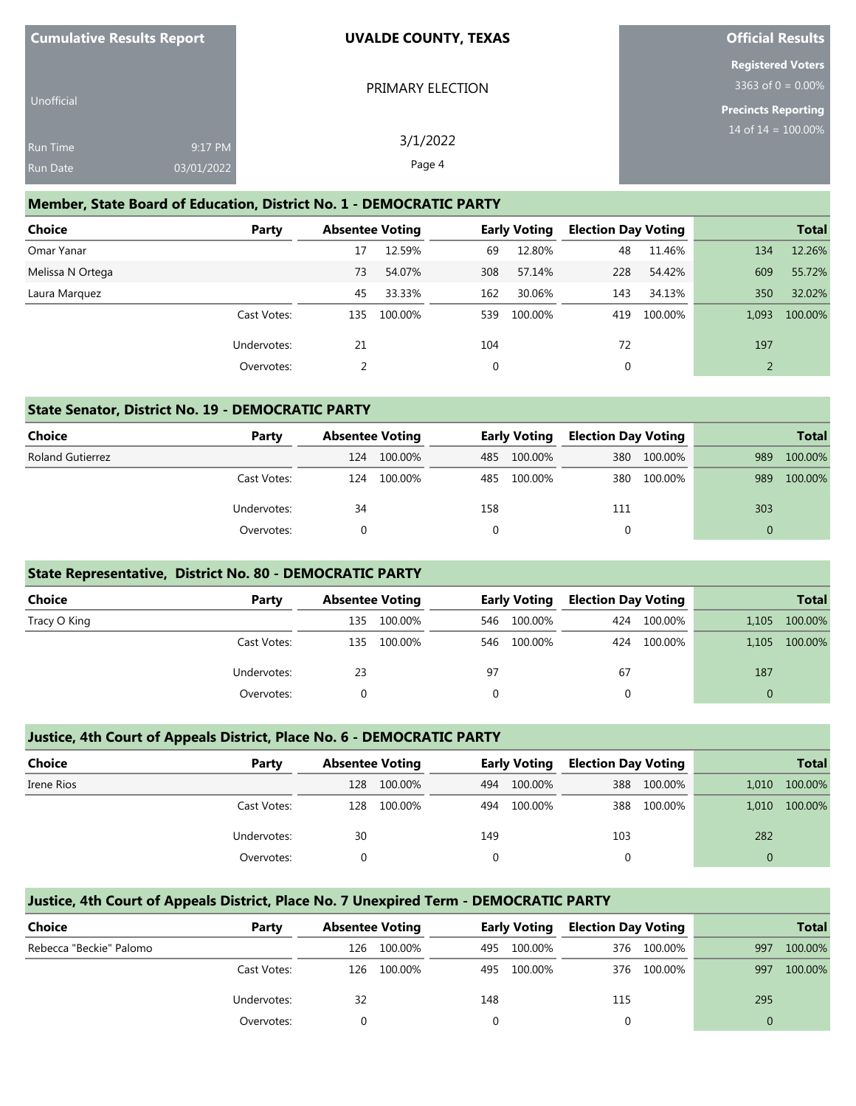| <b>Cumulative Results Report</b> |                       | <b>UVALDE COUNTY, TEXAS</b> | <b>Official Results</b>                             |
|----------------------------------|-----------------------|-----------------------------|-----------------------------------------------------|
| Unofficial                       |                       | PRIMARY ELECTION            | <b>Registered Voters</b><br>$3363$ of 0 = 0.00%     |
| Run Time<br>Run Date             | 9:17 PM<br>03/01/2022 | 3/1/2022<br>Page 4          | <b>Precincts Reporting</b><br>14 of $14 = 100.00\%$ |

#### **Member, State Board of Education, District No. 1 - DEMOCRATIC PARTY**

| <b>Choice</b>    | Party       | <b>Absentee Voting</b> |         |     | <b>Early Voting</b> | <b>Election Day Voting</b> |         |       | <b>Total</b> |
|------------------|-------------|------------------------|---------|-----|---------------------|----------------------------|---------|-------|--------------|
| Omar Yanar       |             | 17                     | 12.59%  | 69  | 12.80%              | 48                         | 11.46%  | 134   | 12.26%       |
| Melissa N Ortega |             | 73                     | 54.07%  | 308 | 57.14%              | 228                        | 54.42%  | 609   | 55.72%       |
| Laura Marguez    |             | 45                     | 33.33%  | 162 | 30.06%              | 143                        | 34.13%  | 350   | 32.02%       |
|                  | Cast Votes: | 135                    | 100.00% | 539 | 100.00%             | 419                        | 100.00% | 1.093 | 100.00%      |
|                  | Undervotes: | 21                     |         | 104 |                     | 72                         |         | 197   |              |
|                  | Overvotes:  |                        |         |     |                     | 0                          |         |       |              |

#### **State Senator, District No. 19 - DEMOCRATIC PARTY**

| Choice                  | Party       | <b>Absentee Voting</b> |         |     | <b>Early Voting</b> | <b>Election Day Voting</b> |         |          | <b>Total</b> |
|-------------------------|-------------|------------------------|---------|-----|---------------------|----------------------------|---------|----------|--------------|
| <b>Roland Gutierrez</b> |             | 124                    | 100.00% |     | 485 100.00%         | 380                        | 100.00% | 989      | 100.00%      |
|                         | Cast Votes: | 124                    | 100.00% |     | 485 100.00%         | 380                        | 100.00% | 989      | 100.00%      |
|                         | Undervotes: | 34                     |         | 158 |                     | 111                        |         | 303      |              |
|                         | Overvotes:  |                        |         |     |                     |                            |         | $\Omega$ |              |

#### **State Representative, District No. 80 - DEMOCRATIC PARTY**

| <b>Choice</b> | Party       | <b>Absentee Voting</b> |         |     | <b>Early Voting</b> | <b>Election Day Voting</b> |         |          | <b>Total</b> |
|---------------|-------------|------------------------|---------|-----|---------------------|----------------------------|---------|----------|--------------|
| Tracy O King  |             | 135                    | 100.00% | 546 | 100.00%             | 424                        | 100.00% | 1,105    | 100.00%      |
|               | Cast Votes: | 135                    | 100.00% |     | 546 100.00%         | 424                        | 100.00% | 1,105    | 100.00%      |
|               | Undervotes: | 23                     |         | 97  |                     | 67                         |         | 187      |              |
|               | Overvotes:  |                        |         |     |                     |                            |         | $\Omega$ |              |

#### **Justice, 4th Court of Appeals District, Place No. 6 - DEMOCRATIC PARTY**

| <b>Choice</b> | Party       | <b>Absentee Voting</b> |         |     | <b>Early Voting</b> | <b>Election Day Voting</b> |         |       | <b>Total</b> |
|---------------|-------------|------------------------|---------|-----|---------------------|----------------------------|---------|-------|--------------|
| Irene Rios    |             | 128                    | 100.00% | 494 | 100.00%             | 388                        | 100.00% | 1.010 | 100.00%      |
|               | Cast Votes: | 128                    | 100.00% | 494 | 100.00%             | 388                        | 100.00% | 1,010 | 100.00%      |
|               | Undervotes: | 30                     |         | 149 |                     | 103                        |         | 282   |              |
|               | Overvotes:  |                        |         |     |                     |                            |         |       |              |

## **Justice, 4th Court of Appeals District, Place No. 7 Unexpired Term - DEMOCRATIC PARTY Choice Party Absentee Voting Early Voting Election Day Voting Total** Rebecca "Beckie" Palomo 126 100.00% 495 100.00% 376 100.00% 997 100.00% Cast Votes: 126 100.00% 495 100.00% 376 100.00% 997 100.00% Undervotes: 32 148 115 295 Overvotes: 0 0 0 0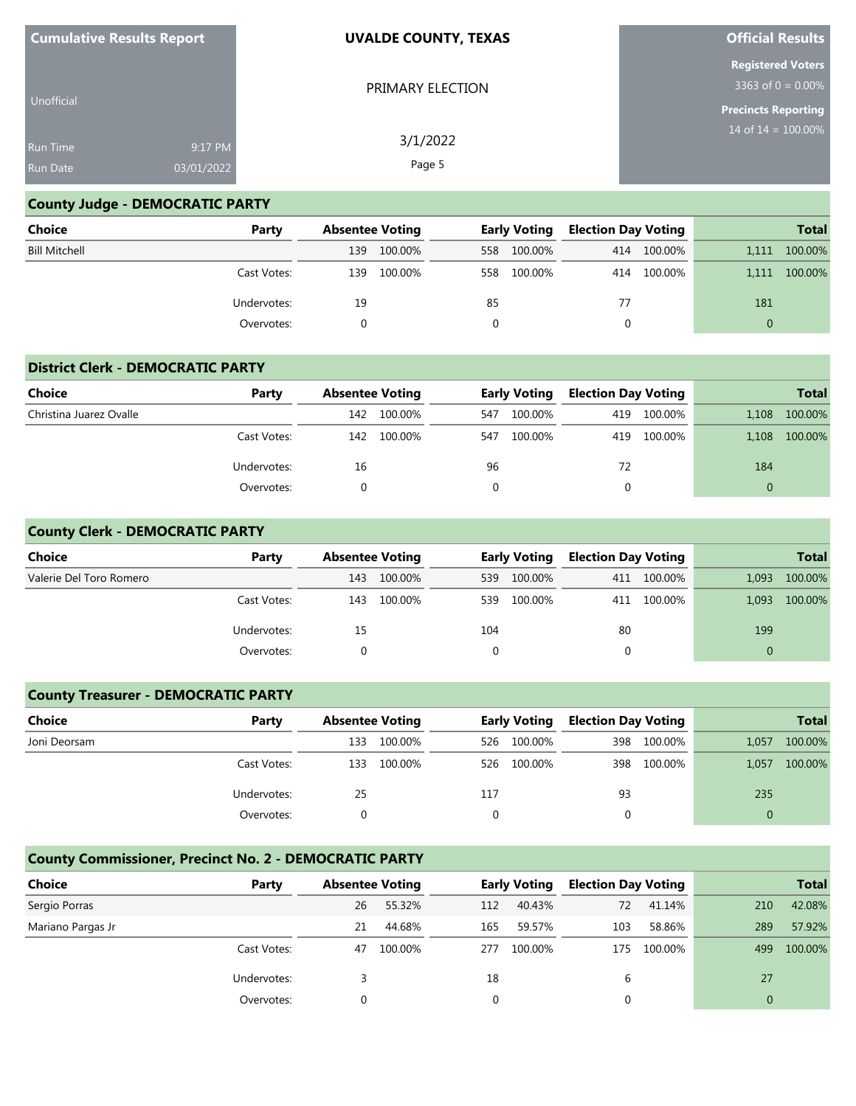| <b>Cumulative Results Report</b> |            | <b>UVALDE COUNTY, TEXAS</b> | <b>Official Results</b>                          |
|----------------------------------|------------|-----------------------------|--------------------------------------------------|
|                                  |            | PRIMARY ELECTION            | <b>Registered Voters</b><br>3363 of $0 = 0.00\%$ |
| Unofficial                       |            |                             | <b>Precincts Reporting</b>                       |
| <b>Run Time</b>                  | 9:17 PM    | 3/1/2022                    | 14 of $14 = 100.00\%$                            |
| <b>Run Date</b>                  | 03/01/2022 | Page 5                      |                                                  |

#### **County Judge - DEMOCRATIC PARTY**

| Choice               | Party       |     | <b>Absentee Voting</b> |     | <b>Early Voting</b> | <b>Election Day Voting</b> |             |          | <b>Total</b> |
|----------------------|-------------|-----|------------------------|-----|---------------------|----------------------------|-------------|----------|--------------|
| <b>Bill Mitchell</b> |             | 139 | 100.00%                |     | 558 100.00%         |                            | 414 100.00% | 1,111    | 100.00%      |
|                      | Cast Votes: | 139 | 100.00%                | 558 | 100.00%             |                            | 414 100.00% | 1,111    | 100.00%      |
|                      | Undervotes: | 19  |                        | 85  |                     | 77                         |             | 181      |              |
|                      | Overvotes:  |     |                        |     |                     | 0                          |             | $\Omega$ |              |

#### **District Clerk - DEMOCRATIC PARTY**

| <b>Choice</b>           | Party       | <b>Absentee Voting</b> |         |     | <b>Early Voting</b> | <b>Election Day Voting</b> |             |          | <b>Total</b> |
|-------------------------|-------------|------------------------|---------|-----|---------------------|----------------------------|-------------|----------|--------------|
| Christina Juarez Ovalle |             | 142                    | 100.00% | 547 | 100.00%             | 419                        | 100.00%     | 1,108    | 100.00%      |
|                         | Cast Votes: | 142                    | 100.00% | 547 | 100.00%             |                            | 419 100.00% | 1.108    | 100.00%      |
|                         | Undervotes: | 16                     |         | 96  |                     | 72                         |             | 184      |              |
|                         | Overvotes:  |                        |         | 0   |                     | 0                          |             | $\Omega$ |              |

#### **County Clerk - DEMOCRATIC PARTY**

| <b>Choice</b>           | Party       |     | <b>Absentee Voting</b> |          | <b>Early Voting</b> |    | <b>Election Day Voting</b> |          | <b>Total</b> |
|-------------------------|-------------|-----|------------------------|----------|---------------------|----|----------------------------|----------|--------------|
| Valerie Del Toro Romero |             | 143 | 100.00%                | 539      | 100.00%             |    | 411 100.00%                | 1,093    | 100.00%      |
|                         | Cast Votes: | 143 | 100.00%                | 539      | 100.00%             |    | 411 100.00%                | 1.093    | 100.00%      |
|                         | Undervotes: | 15  |                        | 104      |                     | 80 |                            | 199      |              |
|                         | Overvotes:  |     |                        | $\Omega$ |                     | 0  |                            | $\Omega$ |              |

#### **County Treasurer - DEMOCRATIC PARTY**

| <b>Choice</b> | Party       | <b>Absentee Voting</b> |         |     | <b>Early Voting</b> |     | <b>Election Day Voting</b> |          | <b>Total</b> |
|---------------|-------------|------------------------|---------|-----|---------------------|-----|----------------------------|----------|--------------|
| Joni Deorsam  |             | 133                    | 100.00% | 526 | 100.00%             | 398 | 100.00%                    | 1,057    | 100.00%      |
|               | Cast Votes: | 133                    | 100.00% | 526 | 100.00%             | 398 | 100.00%                    | 1,057    | 100.00%      |
|               | Undervotes: | 25                     |         | 117 |                     | 93  |                            | 235      |              |
|               | Overvotes:  |                        |         | 0   |                     | 0   |                            | $\Omega$ |              |

#### **County Commissioner, Precinct No. 2 - DEMOCRATIC PARTY**

| Choice            | Party       | <b>Absentee Voting</b> |         |     | <b>Early Voting</b> | <b>Election Day Voting</b> |         |              | <b>Total</b> |
|-------------------|-------------|------------------------|---------|-----|---------------------|----------------------------|---------|--------------|--------------|
| Sergio Porras     |             | 26                     | 55.32%  | 112 | 40.43%              | 72                         | 41.14%  | 210          | 42.08%       |
| Mariano Pargas Jr |             | 21                     | 44.68%  | 165 | 59.57%              | 103                        | 58.86%  | 289          | 57.92%       |
|                   | Cast Votes: | 47                     | 100.00% | 277 | 100.00%             | 175                        | 100.00% | 499          | 100.00%      |
|                   | Undervotes: |                        |         | 18  |                     | 6                          |         | 27           |              |
|                   | Overvotes:  | 0                      |         |     |                     |                            |         | $\mathbf{0}$ |              |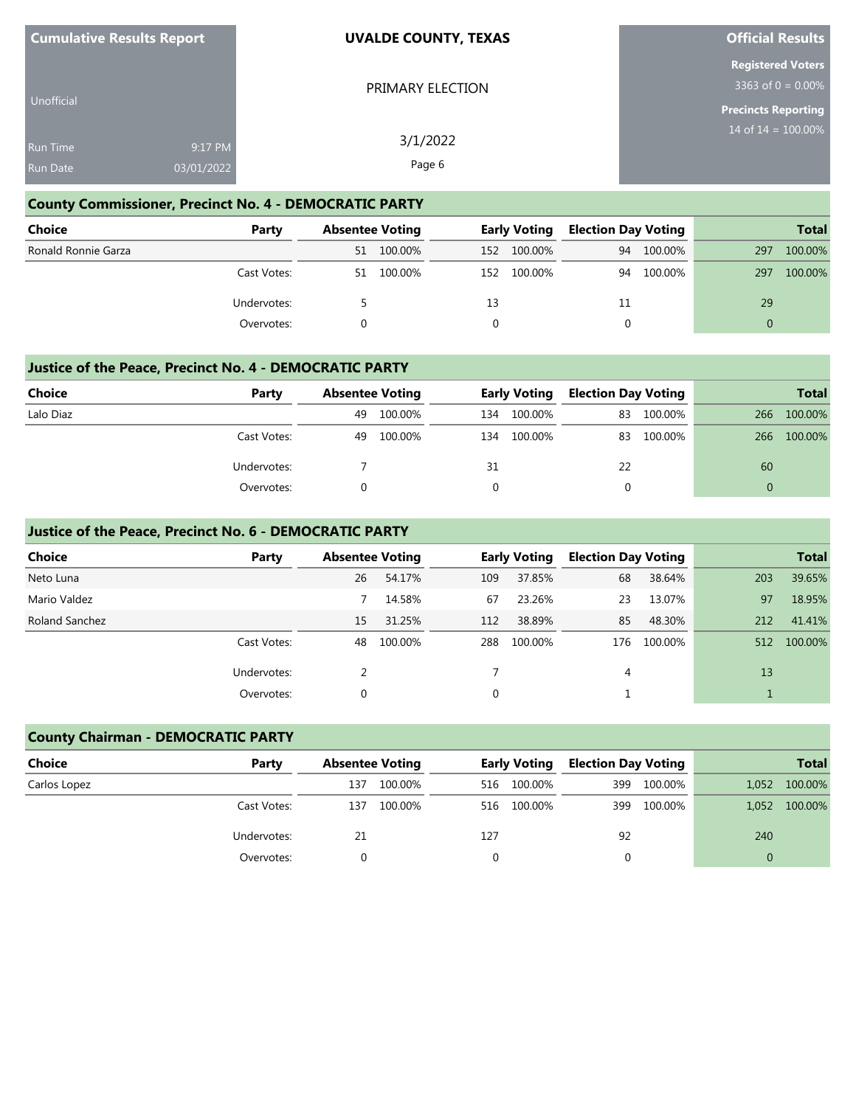| <b>Cumulative Results Report</b> |            | <b>UVALDE COUNTY, TEXAS</b> | <b>Official Results</b>                               |
|----------------------------------|------------|-----------------------------|-------------------------------------------------------|
|                                  |            | PRIMARY ELECTION            | <b>Registered Voters</b><br>$3363$ of 0 = 0.00%       |
| Unofficial                       |            |                             | <b>Precincts Reporting</b><br>$14$ of $14 = 100.00\%$ |
| <b>Run Time</b>                  | 9:17 PM    | 3/1/2022                    |                                                       |
| Run Date                         | 03/01/2022 | Page 6                      |                                                       |

#### **County Commissioner, Precinct No. 4 - DEMOCRATIC PARTY**

| <b>Choice</b>       | Party       |    | <b>Absentee Voting</b> |     | <b>Early Voting</b> |    | <b>Election Day Voting</b> |          | <b>Total</b> |
|---------------------|-------------|----|------------------------|-----|---------------------|----|----------------------------|----------|--------------|
| Ronald Ronnie Garza |             | 51 | 100.00%                | 152 | 100.00%             | 94 | 100.00%                    | 297      | 100.00%      |
|                     | Cast Votes: | 51 | 100.00%                | 152 | 100.00%             | 94 | 100.00%                    | 297      | 100.00%      |
|                     | Undervotes: |    |                        | 13  |                     | 11 |                            | 29       |              |
|                     | Overvotes:  |    |                        |     |                     | 0  |                            | $\Omega$ |              |

#### **Justice of the Peace, Precinct No. 4 - DEMOCRATIC PARTY**

| Choice    | Party       |    | <b>Absentee Voting</b> |     | <b>Early Voting</b> | <b>Election Day Voting</b> |         |     | <b>Total</b> |
|-----------|-------------|----|------------------------|-----|---------------------|----------------------------|---------|-----|--------------|
| Lalo Diaz |             | 49 | 100.00%                | 134 | 100.00%             | 83                         | 100.00% | 266 | 100.00%      |
|           | Cast Votes: | 49 | 100.00%                | 134 | 100.00%             | 83                         | 100.00% | 266 | 100.00%      |
|           | Undervotes: |    |                        | 31  |                     | 22                         |         | 60  |              |
|           | Overvotes:  |    |                        |     |                     |                            |         |     |              |

#### **Justice of the Peace, Precinct No. 6 - DEMOCRATIC PARTY**

| Choice         | Party       | <b>Absentee Voting</b> |         |             | <b>Early Voting</b> | <b>Election Day Voting</b> |         |     | <b>Total</b> |
|----------------|-------------|------------------------|---------|-------------|---------------------|----------------------------|---------|-----|--------------|
| Neto Luna      |             | 26                     | 54.17%  | 109         | 37.85%              | 68                         | 38.64%  | 203 | 39.65%       |
| Mario Valdez   |             |                        | 14.58%  | 67          | 23.26%              | 23                         | 13.07%  | 97  | 18.95%       |
| Roland Sanchez |             | 15                     | 31.25%  | 112         | 38.89%              | 85                         | 48.30%  | 212 | 41.41%       |
|                | Cast Votes: | 48                     | 100.00% | 288         | 100.00%             | 176                        | 100.00% | 512 | 100.00%      |
|                | Undervotes: |                        |         |             |                     | 4                          |         | 13  |              |
|                | Overvotes:  | 0                      |         | $\mathbf 0$ |                     |                            |         |     |              |

#### **County Chairman - DEMOCRATIC PARTY**

| <b>Choice</b> | Party       | <b>Absentee Voting</b> |         |     | <b>Early Voting</b> | <b>Election Day Voting</b> |         |          | <b>Total</b> |
|---------------|-------------|------------------------|---------|-----|---------------------|----------------------------|---------|----------|--------------|
| Carlos Lopez  |             | 137                    | 100.00% | 516 | 100.00%             | 399                        | 100.00% | 1,052    | 100.00%      |
|               | Cast Votes: | 137                    | 100.00% | 516 | 100.00%             | 399                        | 100.00% | 1.052    | 100.00%      |
|               | Undervotes: | 21                     |         | 127 |                     | 92                         |         | 240      |              |
|               | Overvotes:  |                        |         |     |                     |                            |         | $\Omega$ |              |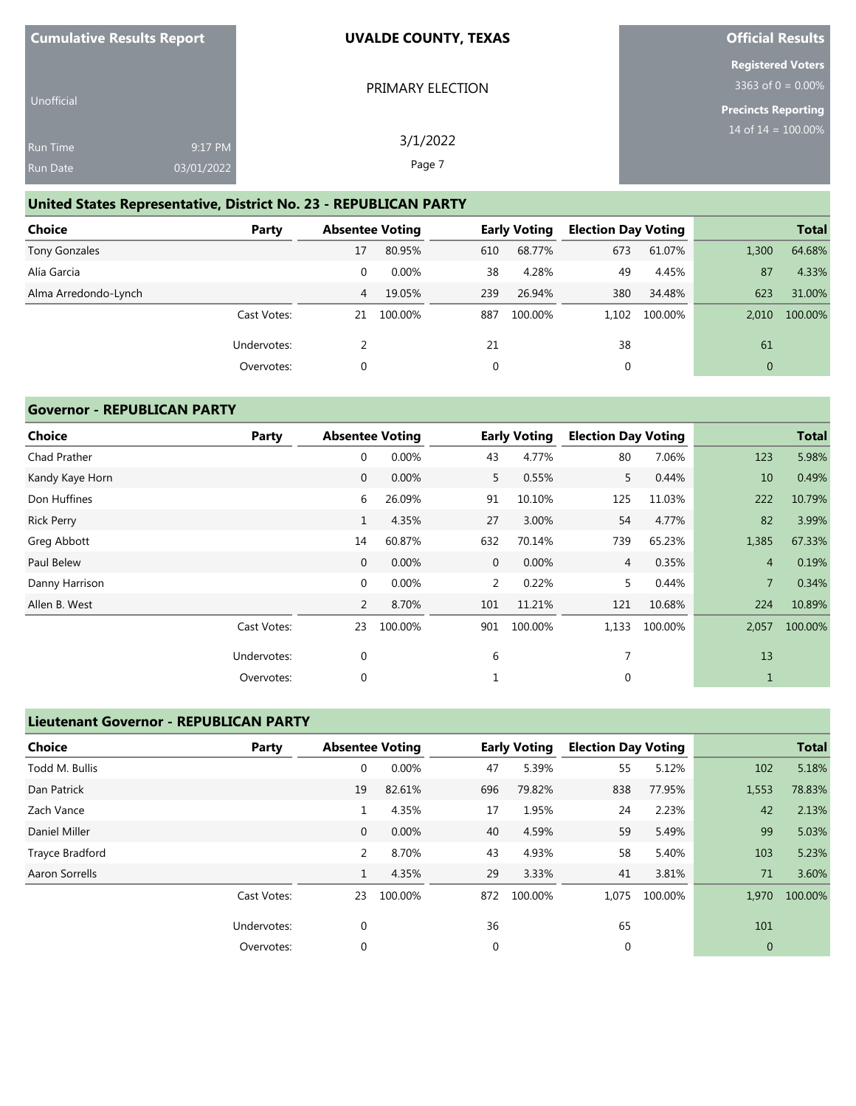| <b>Cumulative Results Report</b> |            | <b>UVALDE COUNTY, TEXAS</b> | <b>Official Results</b>                          |
|----------------------------------|------------|-----------------------------|--------------------------------------------------|
|                                  |            | PRIMARY ELECTION            | <b>Registered Voters</b><br>3363 of $0 = 0.00\%$ |
| Unofficial                       |            |                             | <b>Precincts Reporting</b>                       |
| <b>Run Time</b>                  | 9:17 PM    | 3/1/2022                    | 14 of $14 = 100.00\%$                            |
| <b>Run Date</b>                  | 03/01/2022 | Page 7                      |                                                  |

## **United States Representative, District No. 23 - REPUBLICAN PARTY**

| <b>Choice</b>        | Party       | <b>Absentee Voting</b> |         |     | <b>Early Voting</b> | <b>Election Day Voting</b> |         |              | <b>Total</b> |
|----------------------|-------------|------------------------|---------|-----|---------------------|----------------------------|---------|--------------|--------------|
| <b>Tony Gonzales</b> |             | 17                     | 80.95%  | 610 | 68.77%              | 673                        | 61.07%  | 1,300        | 64.68%       |
| Alía Garcia          |             | 0                      | 0.00%   | 38  | 4.28%               | 49                         | 4.45%   | 87           | 4.33%        |
| Alma Arredondo-Lynch |             | 4                      | 19.05%  | 239 | 26.94%              | 380                        | 34.48%  | 623          | 31.00%       |
|                      | Cast Votes: | 21                     | 100.00% | 887 | 100.00%             | 1.102                      | 100.00% | 2.010        | 100.00%      |
|                      | Undervotes: |                        |         | 21  |                     | 38                         |         | 61           |              |
|                      | Overvotes:  | 0                      |         | 0   |                     | 0                          |         | $\mathbf{0}$ |              |

## **Governor - REPUBLICAN PARTY**

| <b>Choice</b>     | Party       | <b>Absentee Voting</b> |         |             | <b>Early Voting</b> | <b>Election Day Voting</b> |         |                | <b>Total</b> |
|-------------------|-------------|------------------------|---------|-------------|---------------------|----------------------------|---------|----------------|--------------|
| Chad Prather      |             | $\mathbf 0$            | 0.00%   | 43          | 4.77%               | 80                         | 7.06%   | 123            | 5.98%        |
| Kandy Kaye Horn   |             | $\mathbf 0$            | 0.00%   | 5           | 0.55%               | 5                          | 0.44%   | 10             | 0.49%        |
| Don Huffines      |             | 6                      | 26.09%  | 91          | 10.10%              | 125                        | 11.03%  | 222            | 10.79%       |
| <b>Rick Perry</b> |             | $\mathbf{1}$           | 4.35%   | 27          | 3.00%               | 54                         | 4.77%   | 82             | 3.99%        |
| Greg Abbott       |             | 14                     | 60.87%  | 632         | 70.14%              | 739                        | 65.23%  | 1,385          | 67.33%       |
| Paul Belew        |             | $\mathbf 0$            | 0.00%   | $\mathbf 0$ | 0.00%               | $\overline{4}$             | 0.35%   | $\overline{4}$ | 0.19%        |
| Danny Harrison    |             | $\mathbf 0$            | 0.00%   | 2           | 0.22%               | 5.                         | 0.44%   | $\overline{7}$ | 0.34%        |
| Allen B. West     |             | 2                      | 8.70%   | 101         | 11.21%              | 121                        | 10.68%  | 224            | 10.89%       |
|                   | Cast Votes: | 23                     | 100.00% | 901         | 100.00%             | 1,133                      | 100.00% | 2,057          | 100.00%      |
|                   | Undervotes: | $\mathbf{0}$           |         | 6           |                     | 7                          |         | 13             |              |
|                   | Overvotes:  | 0                      |         |             |                     | 0                          |         | 1              |              |

#### **Lieutenant Governor - REPUBLICAN PARTY**

| <b>Choice</b>   | Party       | <b>Absentee Voting</b> |         |             | <b>Early Voting</b> | <b>Election Day Voting</b> |         |              | <b>Total</b> |
|-----------------|-------------|------------------------|---------|-------------|---------------------|----------------------------|---------|--------------|--------------|
| Todd M. Bullis  |             | $\mathbf 0$            | 0.00%   | 47          | 5.39%               | 55                         | 5.12%   | 102          | 5.18%        |
| Dan Patrick     |             | 19                     | 82.61%  | 696         | 79.82%              | 838                        | 77.95%  | 1,553        | 78.83%       |
| Zach Vance      |             | 1                      | 4.35%   | 17          | 1.95%               | 24                         | 2.23%   | 42           | 2.13%        |
| Daniel Miller   |             | $\mathbf{0}$           | 0.00%   | 40          | 4.59%               | 59                         | 5.49%   | 99           | 5.03%        |
| Trayce Bradford |             | 2                      | 8.70%   | 43          | 4.93%               | 58                         | 5.40%   | 103          | 5.23%        |
| Aaron Sorrells  |             | 1                      | 4.35%   | 29          | 3.33%               | 41                         | 3.81%   | 71           | 3.60%        |
|                 | Cast Votes: | 23                     | 100.00% | 872         | 100.00%             | 1.075                      | 100.00% | 1,970        | 100.00%      |
|                 | Undervotes: | $\mathbf 0$            |         | 36          |                     | 65                         |         | 101          |              |
|                 | Overvotes:  | $\mathbf 0$            |         | $\mathbf 0$ |                     | $\mathbf{0}$               |         | $\mathbf{0}$ |              |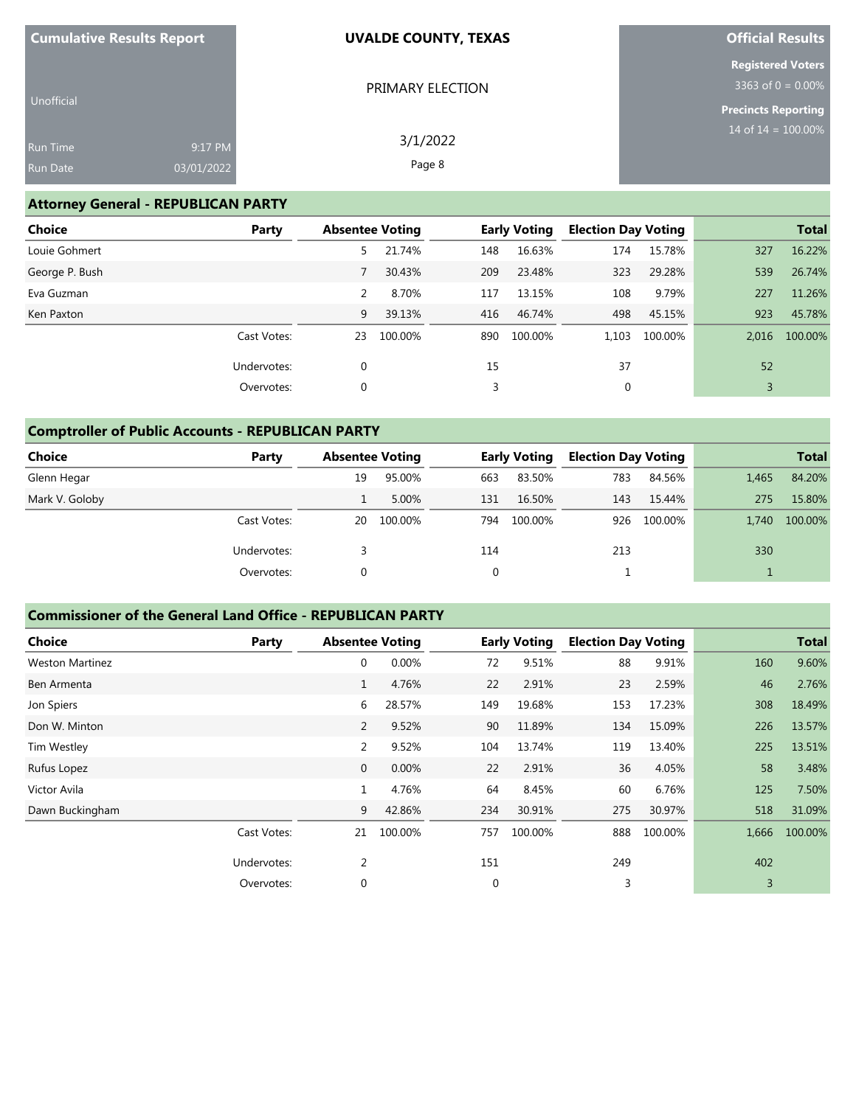| <b>Cumulative Results Report</b>   |                       | <b>UVALDE COUNTY, TEXAS</b> | <b>Official Results</b>                             |
|------------------------------------|-----------------------|-----------------------------|-----------------------------------------------------|
| Unofficial                         |                       | PRIMARY ELECTION            | <b>Registered Voters</b><br>3363 of $0 = 0.00\%$    |
| <b>Run Time</b><br><b>Run Date</b> | 9:17 PM<br>03/01/2022 | 3/1/2022<br>Page 8          | <b>Precincts Reporting</b><br>14 of $14 = 100.00\%$ |

#### **Attorney General - REPUBLICAN PARTY**

| <b>Choice</b>  | Party       | <b>Absentee Voting</b> |         |     | <b>Early Voting</b> | <b>Election Day Voting</b> |         |       | <b>Total</b> |
|----------------|-------------|------------------------|---------|-----|---------------------|----------------------------|---------|-------|--------------|
| Louie Gohmert  |             | 5                      | 21.74%  | 148 | 16.63%              | 174                        | 15.78%  | 327   | 16.22%       |
| George P. Bush |             |                        | 30.43%  | 209 | 23.48%              | 323                        | 29.28%  | 539   | 26.74%       |
| Eva Guzman     |             | 2                      | 8.70%   | 117 | 13.15%              | 108                        | 9.79%   | 227   | 11.26%       |
| Ken Paxton     |             | 9                      | 39.13%  | 416 | 46.74%              | 498                        | 45.15%  | 923   | 45.78%       |
|                | Cast Votes: | 23                     | 100.00% | 890 | 100.00%             | 1.103                      | 100.00% | 2.016 | 100.00%      |
|                | Undervotes: | $\mathbf 0$            |         | 15  |                     | 37                         |         | 52    |              |
|                | Overvotes:  | 0                      |         | 3   |                     | 0                          |         |       |              |

## **Comptroller of Public Accounts - REPUBLICAN PARTY**

| Choice         | Party       | <b>Absentee Voting</b> |         |          | <b>Early Voting</b> | <b>Election Day Voting</b> |             |       | <b>Total</b> |
|----------------|-------------|------------------------|---------|----------|---------------------|----------------------------|-------------|-------|--------------|
| Glenn Hegar    |             | 19                     | 95.00%  | 663      | 83.50%              | 783                        | 84.56%      | 1,465 | 84.20%       |
| Mark V. Goloby |             |                        | 5.00%   | 131      | 16.50%              | 143                        | 15.44%      | 275   | 15.80%       |
|                | Cast Votes: | 20                     | 100.00% | 794      | 100.00%             |                            | 926 100.00% | 1.740 | 100.00%      |
|                | Undervotes: |                        |         | 114      |                     | 213                        |             | 330   |              |
|                | Overvotes:  | 0                      |         | $\Omega$ |                     |                            |             |       |              |

#### **Commissioner of the General Land Office - REPUBLICAN PARTY**

| <b>Choice</b>          | Party       | <b>Absentee Voting</b> |         |             | <b>Early Voting</b> | <b>Election Day Voting</b> |         |       | <b>Total</b> |
|------------------------|-------------|------------------------|---------|-------------|---------------------|----------------------------|---------|-------|--------------|
| <b>Weston Martinez</b> |             | $\mathbf 0$            | 0.00%   | 72          | 9.51%               | 88                         | 9.91%   | 160   | 9.60%        |
| Ben Armenta            |             | $\mathbf{1}$           | 4.76%   | 22          | 2.91%               | 23                         | 2.59%   | 46    | 2.76%        |
| Jon Spiers             |             | 6                      | 28.57%  | 149         | 19.68%              | 153                        | 17.23%  | 308   | 18.49%       |
| Don W. Minton          |             | 2                      | 9.52%   | 90          | 11.89%              | 134                        | 15.09%  | 226   | 13.57%       |
| Tim Westley            |             | 2                      | 9.52%   | 104         | 13.74%              | 119                        | 13.40%  | 225   | 13.51%       |
| Rufus Lopez            |             | $\mathbf 0$            | 0.00%   | 22          | 2.91%               | 36                         | 4.05%   | 58    | 3.48%        |
| Victor Avila           |             | 1                      | 4.76%   | 64          | 8.45%               | 60                         | 6.76%   | 125   | 7.50%        |
| Dawn Buckingham        |             | 9                      | 42.86%  | 234         | 30.91%              | 275                        | 30.97%  | 518   | 31.09%       |
|                        | Cast Votes: | 21                     | 100.00% | 757         | 100.00%             | 888                        | 100.00% | 1,666 | 100.00%      |
|                        | Undervotes: | $\overline{2}$         |         | 151         |                     | 249                        |         | 402   |              |
|                        | Overvotes:  | $\mathbf 0$            |         | $\mathbf 0$ |                     | 3                          |         | 3     |              |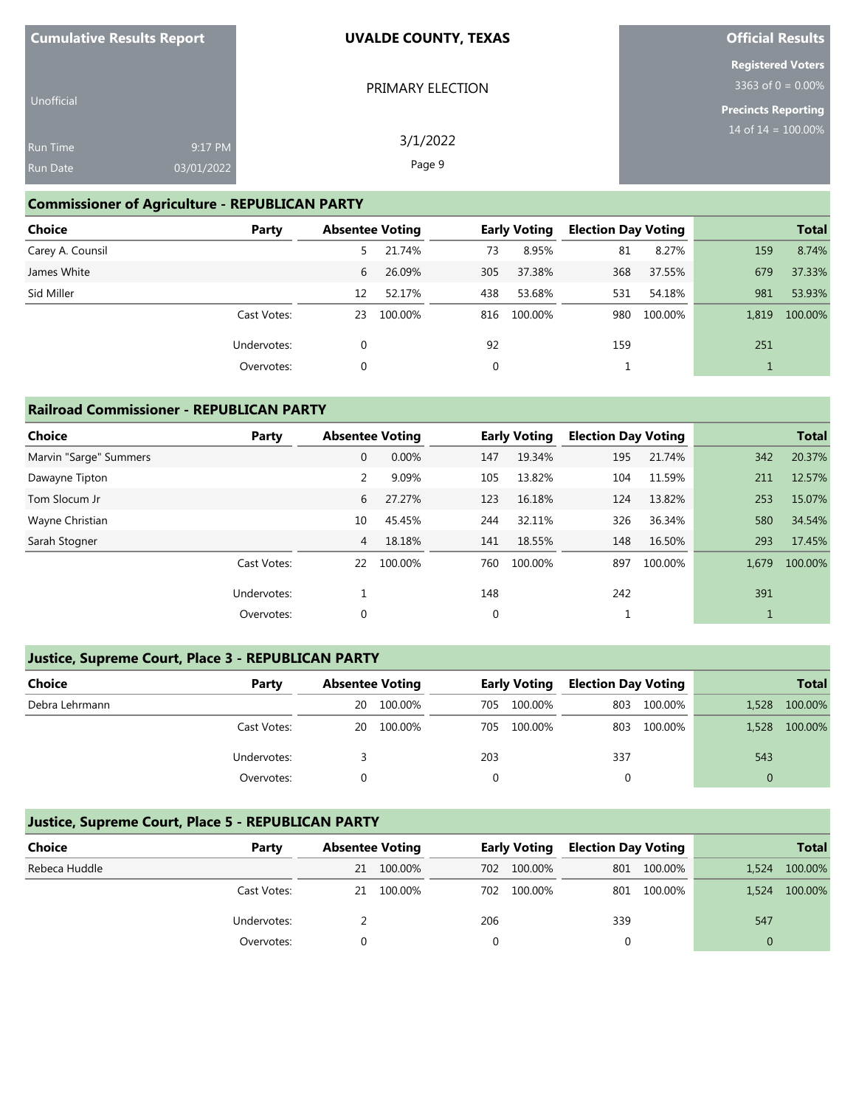| <b>Cumulative Results Report</b>   |                       | <b>UVALDE COUNTY, TEXAS</b> | <b>Official Results</b>                                                        |
|------------------------------------|-----------------------|-----------------------------|--------------------------------------------------------------------------------|
| Unofficial                         |                       | PRIMARY ELECTION            | <b>Registered Voters</b><br>3363 of $0 = 0.00\%$<br><b>Precincts Reporting</b> |
| <b>Run Time</b><br><b>Run Date</b> | 9:17 PM<br>03/01/2022 | 3/1/2022<br>Page 9          | 14 of $14 = 100.00\%$                                                          |

#### **Commissioner of Agriculture - REPUBLICAN PARTY**

| <b>Choice</b>    | Party       | <b>Absentee Voting</b> |         |     | <b>Early Voting</b> | <b>Election Day Voting</b> |         |       | <b>Total</b> |
|------------------|-------------|------------------------|---------|-----|---------------------|----------------------------|---------|-------|--------------|
| Carey A. Counsil |             | 5.                     | 21.74%  | 73  | 8.95%               | 81                         | 8.27%   | 159   | 8.74%        |
| James White      |             | 6                      | 26.09%  | 305 | 37.38%              | 368                        | 37.55%  | 679   | 37.33%       |
| Sid Miller       |             | 12                     | 52.17%  | 438 | 53.68%              | 531                        | 54.18%  | 981   | 53.93%       |
|                  | Cast Votes: | 23                     | 100.00% | 816 | 100.00%             | 980                        | 100.00% | 1.819 | 100.00%      |
|                  | Undervotes: | 0                      |         | 92  |                     | 159                        |         | 251   |              |
|                  | Overvotes:  | 0                      |         | 0   |                     |                            |         |       |              |

#### **Railroad Commissioner - REPUBLICAN PARTY**

| Choice<br>Party        | <b>Absentee Voting</b> |         |             | <b>Early Voting</b> | <b>Election Day Voting</b> |         |       | <b>Total</b> |
|------------------------|------------------------|---------|-------------|---------------------|----------------------------|---------|-------|--------------|
| Marvin "Sarge" Summers | $\mathbf{0}$           | 0.00%   | 147         | 19.34%              | 195                        | 21.74%  | 342   | 20.37%       |
| Dawayne Tipton         | 2                      | 9.09%   | 105         | 13.82%              | 104                        | 11.59%  | 211   | 12.57%       |
| Tom Slocum Jr          | 6                      | 27.27%  | 123         | 16.18%              | 124                        | 13.82%  | 253   | 15.07%       |
| Wayne Christian        | 10                     | 45.45%  | 244         | 32.11%              | 326                        | 36.34%  | 580   | 34.54%       |
| Sarah Stogner          | $\overline{4}$         | 18.18%  | 141         | 18.55%              | 148                        | 16.50%  | 293   | 17.45%       |
| Cast Votes:            | 22                     | 100.00% | 760         | 100.00%             | 897                        | 100.00% | 1.679 | 100.00%      |
| Undervotes:            |                        |         | 148         |                     | 242                        |         | 391   |              |
| Overvotes:             | $\mathbf 0$            |         | $\mathbf 0$ |                     |                            |         |       |              |

## **Justice, Supreme Court, Place 3 - REPUBLICAN PARTY**

| Choice         | Party       |    | <b>Absentee Voting</b> |     | <b>Early Voting</b> | <b>Election Day Voting</b> |         |       | <b>Total</b> |
|----------------|-------------|----|------------------------|-----|---------------------|----------------------------|---------|-------|--------------|
| Debra Lehrmann |             | 20 | 100.00%                | 705 | 100.00%             | 803                        | 100.00% | 1,528 | 100.00%      |
|                | Cast Votes: | 20 | 100.00%                | 705 | 100.00%             | 803                        | 100.00% | 1,528 | 100.00%      |
|                | Undervotes: |    |                        | 203 |                     | 337                        |         | 543   |              |
|                | Overvotes:  |    |                        |     |                     |                            |         |       |              |

#### **Justice, Supreme Court, Place 5 - REPUBLICAN PARTY**

| <b>Choice</b> | Party       | <b>Absentee Voting</b> |         |     | <b>Early Voting</b> | <b>Election Day Voting</b> |             |       | <b>Total</b> |
|---------------|-------------|------------------------|---------|-----|---------------------|----------------------------|-------------|-------|--------------|
| Rebeca Huddle |             | 21                     | 100.00% | 702 | 100.00%             |                            | 801 100.00% | 1,524 | 100.00%      |
|               | Cast Votes: | 21                     | 100.00% | 702 | 100.00%             |                            | 801 100.00% | 1,524 | 100.00%      |
|               | Undervotes: |                        |         | 206 |                     | 339                        |             | 547   |              |
|               | Overvotes:  |                        |         |     |                     |                            |             |       |              |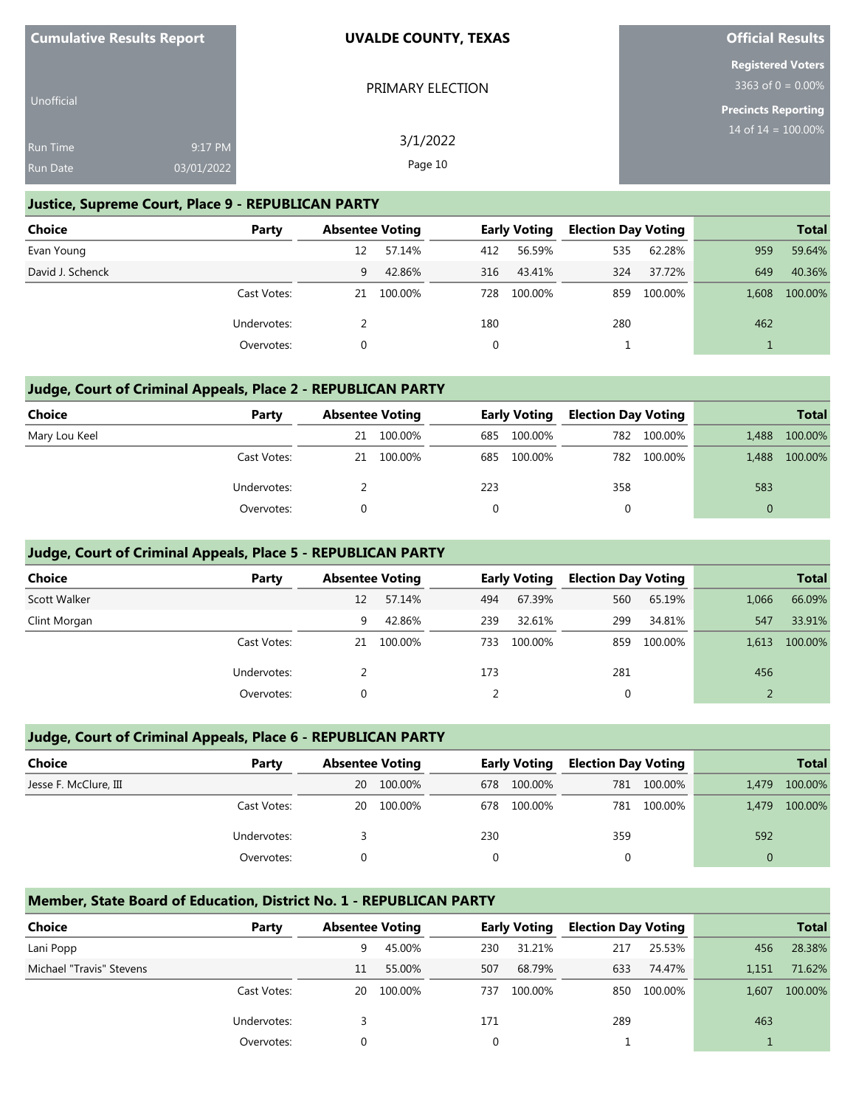| <b>Cumulative Results Report</b> |            | <b>UVALDE COUNTY, TEXAS</b> | <b>Official Results</b>                          |
|----------------------------------|------------|-----------------------------|--------------------------------------------------|
|                                  |            | PRIMARY ELECTION            | <b>Registered Voters</b><br>3363 of $0 = 0.00\%$ |
| <b>Unofficial</b>                |            |                             | <b>Precincts Reporting</b>                       |
| <b>Run Time</b>                  | 9:17 PM    | 3/1/2022                    | 14 of $14 = 100.00\%$                            |
| <b>Run Date</b>                  | 03/01/2022 | Page 10                     |                                                  |

#### **Justice, Supreme Court, Place 9 - REPUBLICAN PARTY**

| Choice           | Party       | <b>Absentee Voting</b> |         |     | <b>Early Voting</b> | <b>Election Day Voting</b> |         |       | <b>Total</b> |
|------------------|-------------|------------------------|---------|-----|---------------------|----------------------------|---------|-------|--------------|
| Evan Young       |             | 12                     | 57.14%  | 412 | 56.59%              | 535                        | 62.28%  | 959   | 59.64%       |
| David J. Schenck |             | 9                      | 42.86%  | 316 | 43.41%              | 324                        | 37.72%  | 649   | 40.36%       |
|                  | Cast Votes: | 21                     | 100.00% | 728 | 100.00%             | 859                        | 100.00% | 1.608 | 100.00%      |
|                  | Undervotes: |                        |         | 180 |                     | 280                        |         | 462   |              |
|                  | Overvotes:  |                        |         |     |                     |                            |         |       |              |

#### **Judge, Court of Criminal Appeals, Place 2 - REPUBLICAN PARTY**

| Choice        | Party       | <b>Absentee Voting</b> |         |     | <b>Early Voting</b> | <b>Election Day Voting</b> |         |          | <b>Total</b> |
|---------------|-------------|------------------------|---------|-----|---------------------|----------------------------|---------|----------|--------------|
| Mary Lou Keel |             | 21                     | 100.00% | 685 | 100.00%             | 782                        | 100.00% | 1,488    | 100.00%      |
|               | Cast Votes: | 21                     | 100.00% | 685 | 100.00%             | 782                        | 100.00% | 1,488    | 100.00%      |
|               | Undervotes: |                        |         | 223 |                     | 358                        |         | 583      |              |
|               | Overvotes:  | 0                      |         |     |                     | 0                          |         | $\Omega$ |              |

#### **Judge, Court of Criminal Appeals, Place 5 - REPUBLICAN PARTY**

| <b>Choice</b> | Party       | <b>Absentee Voting</b> |         |     | <b>Early Voting</b> | <b>Election Day Voting</b> |         |       | <b>Total</b> |
|---------------|-------------|------------------------|---------|-----|---------------------|----------------------------|---------|-------|--------------|
| Scott Walker  |             | 12                     | 57.14%  | 494 | 67.39%              | 560                        | 65.19%  | 1,066 | 66.09%       |
| Clint Morgan  |             | 9                      | 42.86%  | 239 | 32.61%              | 299                        | 34.81%  | 547   | 33.91%       |
|               | Cast Votes: | 21                     | 100.00% | 733 | 100.00%             | 859                        | 100.00% | 1.613 | 100.00%      |
|               | Undervotes: |                        |         | 173 |                     | 281                        |         | 456   |              |
|               | Overvotes:  |                        |         |     |                     | υ                          |         |       |              |

#### **Judge, Court of Criminal Appeals, Place 6 - REPUBLICAN PARTY**

| <b>Choice</b>         | Party       | <b>Absentee Voting</b> |         | <b>Early Voting</b> |         | <b>Election Day Voting</b> |             |          | <b>Total</b> |
|-----------------------|-------------|------------------------|---------|---------------------|---------|----------------------------|-------------|----------|--------------|
| Jesse F. McClure, III |             | 20                     | 100.00% | 678                 | 100.00% |                            | 781 100.00% | 1.479    | 100.00%      |
|                       | Cast Votes: | 20                     | 100.00% | 678                 | 100.00% |                            | 781 100.00% | 1.479    | 100.00%      |
|                       | Undervotes: |                        |         | 230                 |         | 359                        |             | 592      |              |
|                       | Overvotes:  |                        |         |                     |         | 0                          |             | $\Omega$ |              |

#### **Member, State Board of Education, District No. 1 - REPUBLICAN PARTY**

| <b>Choice</b>            | Party       | <b>Absentee Voting</b> |         |          | <b>Early Voting</b> | <b>Election Day Voting</b> |             |       | <b>Total</b> |
|--------------------------|-------------|------------------------|---------|----------|---------------------|----------------------------|-------------|-------|--------------|
| Lani Popp                |             | 9                      | 45.00%  | 230      | 31.21%              | 217                        | 25.53%      | 456   | 28.38%       |
| Michael "Travis" Stevens |             | 11                     | 55.00%  | 507      | 68.79%              | 633                        | 74.47%      | 1.151 | 71.62%       |
|                          | Cast Votes: | 20                     | 100.00% | 737      | 100.00%             |                            | 850 100.00% | 1.607 | 100.00%      |
|                          | Undervotes: |                        |         | 171      |                     | 289                        |             | 463   |              |
|                          | Overvotes:  |                        |         | $\Omega$ |                     |                            |             |       |              |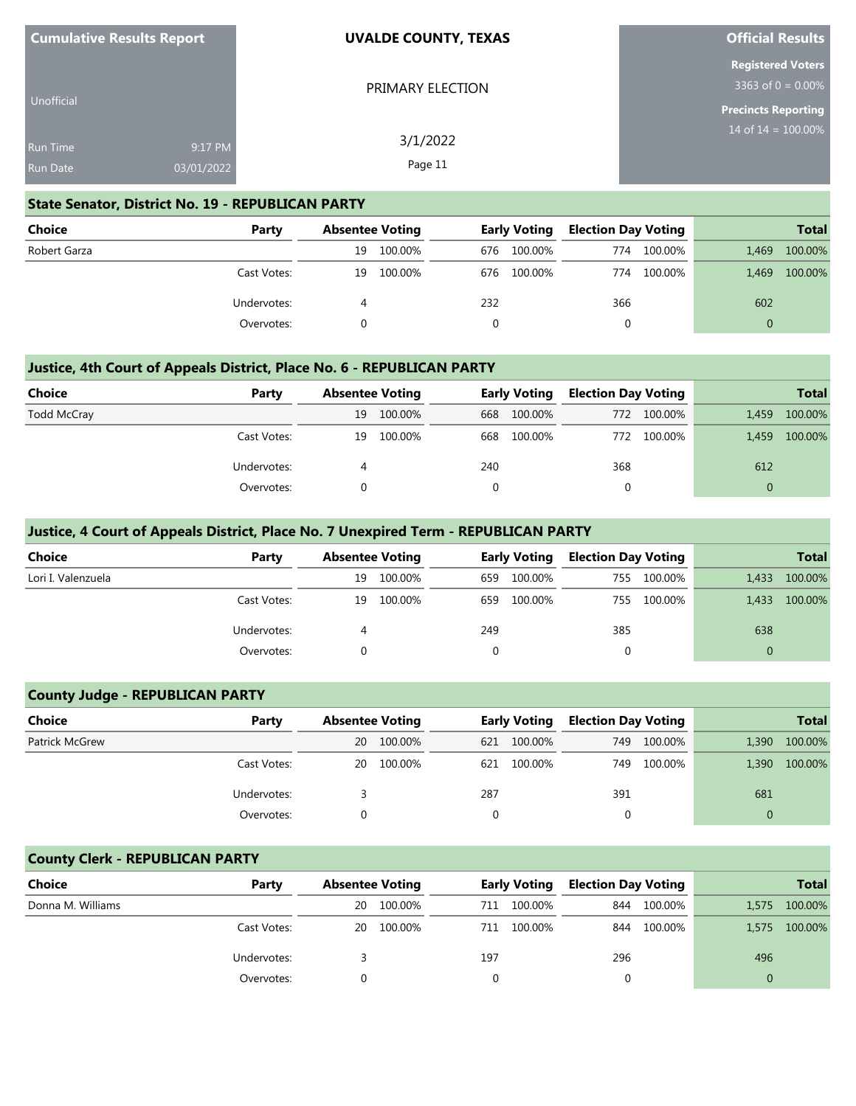| <b>Cumulative Results Report</b>   |                       | <b>UVALDE COUNTY, TEXAS</b> | <b>Official Results</b>                             |
|------------------------------------|-----------------------|-----------------------------|-----------------------------------------------------|
| Unofficial                         |                       | PRIMARY ELECTION            | <b>Registered Voters</b><br>3363 of $0 = 0.00\%$    |
| <b>Run Time</b><br><b>Run Date</b> | 9:17 PM<br>03/01/2022 | 3/1/2022<br>Page 11         | <b>Precincts Reporting</b><br>14 of $14 = 100.00\%$ |

#### **State Senator, District No. 19 - REPUBLICAN PARTY**

| <b>Choice</b> | Party       | <b>Absentee Voting</b> |         | <b>Early Voting</b> |             | <b>Election Day Voting</b> |         |          | <b>Total</b> |
|---------------|-------------|------------------------|---------|---------------------|-------------|----------------------------|---------|----------|--------------|
| Robert Garza  |             | 19                     | 100.00% |                     | 676 100.00% | 774                        | 100.00% | 1.469    | 100.00%      |
|               | Cast Votes: | 19                     | 100.00% |                     | 676 100.00% | 774                        | 100.00% | 1.469    | 100.00%      |
|               | Undervotes: |                        |         | 232                 |             | 366                        |         | 602      |              |
|               | Overvotes:  |                        |         |                     |             | 0                          |         | $\Omega$ |              |

#### **Justice, 4th Court of Appeals District, Place No. 6 - REPUBLICAN PARTY**

| Choice             | Party       | <b>Absentee Voting</b> |         | <b>Early Voting</b> |             | <b>Election Day Voting</b> |             |          | <b>Total</b> |
|--------------------|-------------|------------------------|---------|---------------------|-------------|----------------------------|-------------|----------|--------------|
| <b>Todd McCray</b> |             | 19                     | 100.00% |                     | 668 100.00% |                            | 772 100.00% | 1.459    | 100.00%      |
|                    | Cast Votes: | 19                     | 100.00% |                     | 668 100.00% |                            | 772 100.00% | 1.459    | 100.00%      |
|                    | Undervotes: | 4                      |         | 240                 |             | 368                        |             | 612      |              |
|                    | Overvotes:  |                        |         |                     |             |                            |             | $\Omega$ |              |

#### **Justice, 4 Court of Appeals District, Place No. 7 Unexpired Term - REPUBLICAN PARTY**

| <b>Choice</b>      | Party       | <b>Absentee Voting</b> |         | <b>Early Voting</b> |         | <b>Election Day Voting</b> |         |          | <b>Total</b> |
|--------------------|-------------|------------------------|---------|---------------------|---------|----------------------------|---------|----------|--------------|
| Lori I. Valenzuela |             | 19                     | 100.00% | 659                 | 100.00% | 755                        | 100.00% | 1,433    | 100.00%      |
|                    | Cast Votes: | 19                     | 100.00% | 659                 | 100.00% | 755                        | 100.00% | 1,433    | 100.00%      |
|                    | Undervotes: | 4                      |         | 249                 |         | 385                        |         | 638      |              |
|                    | Overvotes:  |                        |         | 0                   |         | 0                          |         | $\Omega$ |              |

#### **County Judge - REPUBLICAN PARTY**

| Choice                | Party       | <b>Absentee Voting</b> |         | <b>Early Voting</b> |         | <b>Election Day Voting</b> |         |       | <b>Total</b> |
|-----------------------|-------------|------------------------|---------|---------------------|---------|----------------------------|---------|-------|--------------|
| <b>Patrick McGrew</b> |             | 20                     | 100.00% | 621                 | 100.00% | 749                        | 100.00% | 1,390 | 100.00%      |
|                       | Cast Votes: | 20                     | 100.00% | 621                 | 100.00% | 749                        | 100.00% | 1,390 | 100.00%      |
|                       | Undervotes: |                        |         | 287                 |         | 391                        |         | 681   |              |
|                       | Overvotes:  |                        |         | $\Omega$            |         |                            |         |       |              |

#### **County Clerk - REPUBLICAN PARTY**

| Choice            | Party       | <b>Absentee Voting</b> |         | <b>Early Voting</b> |         | <b>Election Day Voting</b> |         |       | <b>Total</b> |
|-------------------|-------------|------------------------|---------|---------------------|---------|----------------------------|---------|-------|--------------|
| Donna M. Williams |             | 20                     | 100.00% | 711                 | 100.00% | 844                        | 100.00% | 1,575 | 100.00%      |
|                   | Cast Votes: | 20                     | 100.00% | 711                 | 100.00% | 844                        | 100.00% | 1.575 | 100.00%      |
|                   | Undervotes: |                        |         | 197                 |         | 296                        |         | 496   |              |
|                   | Overvotes:  |                        |         |                     |         |                            |         |       |              |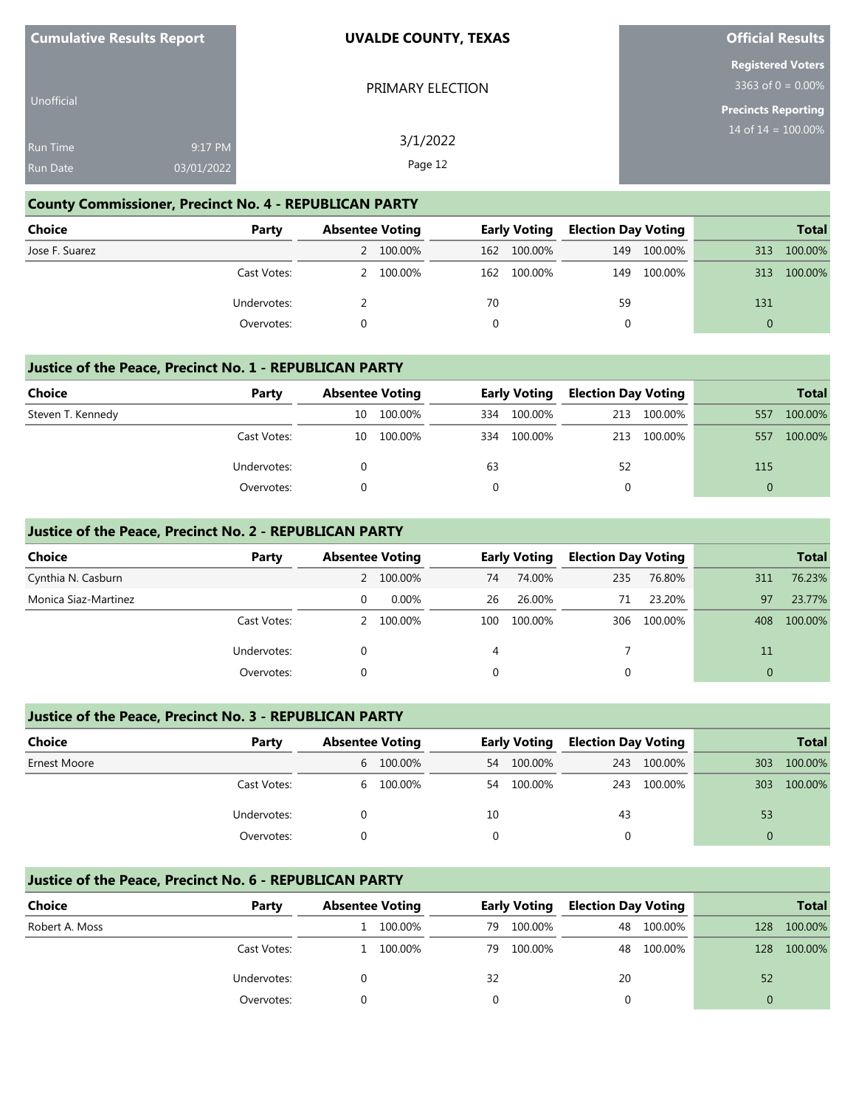| <b>Cumulative Results Report</b>   |                       | <b>UVALDE COUNTY, TEXAS</b> | <b>Official Results</b>                          |
|------------------------------------|-----------------------|-----------------------------|--------------------------------------------------|
|                                    |                       | PRIMARY ELECTION            | <b>Registered Voters</b><br>3363 of $0 = 0.00\%$ |
| <b>Unofficial</b>                  |                       |                             | Precincts Reporting                              |
| <b>Run Time</b><br><b>Run Date</b> | 9:17 PM<br>03/01/2022 | 3/1/2022<br>Page 12         | 14 of $14 = 100.00\%$                            |
|                                    |                       |                             |                                                  |

# **County Commissioner, Precinct No. 4 - REPUBLICAN PARTY**

| <b>Choice</b>  | Party       | <b>Absentee Voting</b> |           | <b>Early Voting</b> |             | <b>Election Day Voting</b> |         |          | <b>Total</b> |
|----------------|-------------|------------------------|-----------|---------------------|-------------|----------------------------|---------|----------|--------------|
| Jose F. Suarez |             |                        | 2 100.00% |                     | 162 100.00% | 149                        | 100.00% | 313      | 100.00%      |
|                | Cast Votes: |                        | 2 100.00% |                     | 162 100.00% | 149                        | 100.00% | 313      | 100.00%      |
|                | Undervotes: |                        |           | 70                  |             | 59                         |         | 131      |              |
|                | Overvotes:  |                        |           |                     |             |                            |         | $\Omega$ |              |

#### **Justice of the Peace, Precinct No. 1 - REPUBLICAN PARTY**

| <b>Choice</b>     | Party       | <b>Absentee Voting</b> |         | <b>Early Voting</b> |         | <b>Election Day Voting</b> |         |     | <b>Total</b> |
|-------------------|-------------|------------------------|---------|---------------------|---------|----------------------------|---------|-----|--------------|
| Steven T. Kennedy |             | 10                     | 100.00% | 334                 | 100.00% | 213                        | 100.00% | 557 | 100.00%      |
|                   | Cast Votes: | 10                     | 100.00% | 334                 | 100.00% | 213                        | 100.00% | 557 | 100.00%      |
|                   | Undervotes: |                        |         | 63                  |         | 52                         |         | 115 |              |
|                   | Overvotes:  |                        |         |                     |         |                            |         |     |              |

#### **Justice of the Peace, Precinct No. 2 - REPUBLICAN PARTY**

| Choice               | Party       | <b>Absentee Voting</b> |           |          | <b>Early Voting</b> | <b>Election Day Voting</b> |             |     | <b>Total</b> |
|----------------------|-------------|------------------------|-----------|----------|---------------------|----------------------------|-------------|-----|--------------|
| Cynthia N. Casburn   |             |                        | 2 100.00% | 74       | 74.00%              | 235                        | 76.80%      | 311 | 76.23%       |
| Monica Siaz-Martinez |             | 0                      | $0.00\%$  | 26       | 26.00%              | 71                         | 23.20%      | 97  | 23.77%       |
|                      | Cast Votes: |                        | 100.00%   | 100      | 100.00%             |                            | 306 100.00% | 408 | 100.00%      |
|                      | Undervotes: | 0                      |           | 4        |                     |                            |             | 11  |              |
|                      | Overvotes:  | 0                      |           | $\Omega$ |                     | 0                          |             | 0   |              |

#### **Justice of the Peace, Precinct No. 3 - REPUBLICAN PARTY**

| <b>Choice</b>       | Party       | <b>Absentee Voting</b> |           |          | <b>Early Voting</b> | <b>Election Day Voting</b> |         |          | <b>Total</b> |
|---------------------|-------------|------------------------|-----------|----------|---------------------|----------------------------|---------|----------|--------------|
| <b>Ernest Moore</b> |             |                        | 6 100.00% | 54       | 100.00%             | 243                        | 100.00% | 303      | 100.00%      |
|                     | Cast Votes: |                        | 6 100.00% | 54       | 100.00%             | 243                        | 100.00% | 303      | 100.00%      |
|                     | Undervotes: |                        |           | 10       |                     | 43                         |         | 53       |              |
|                     | Overvotes:  |                        |           | $\Omega$ |                     | 0                          |         | $\Omega$ |              |

#### **Justice of the Peace, Precinct No. 6 - REPUBLICAN PARTY**

| <b>Choice</b>  | Party       | <b>Absentee Voting</b> |         |    | <b>Early Voting</b> | <b>Election Day Voting</b> |            |     | <b>Total</b> |
|----------------|-------------|------------------------|---------|----|---------------------|----------------------------|------------|-----|--------------|
| Robert A. Moss |             |                        | 100.00% | 79 | 100.00%             | 48                         | 100.00%    | 128 | 100.00%      |
|                | Cast Votes: |                        | 100.00% | 79 | 100.00%             |                            | 48 100.00% | 128 | 100.00%      |
|                | Undervotes: |                        |         | 32 |                     | 20                         |            | 52  |              |
|                | Overvotes:  |                        |         |    |                     |                            |            |     |              |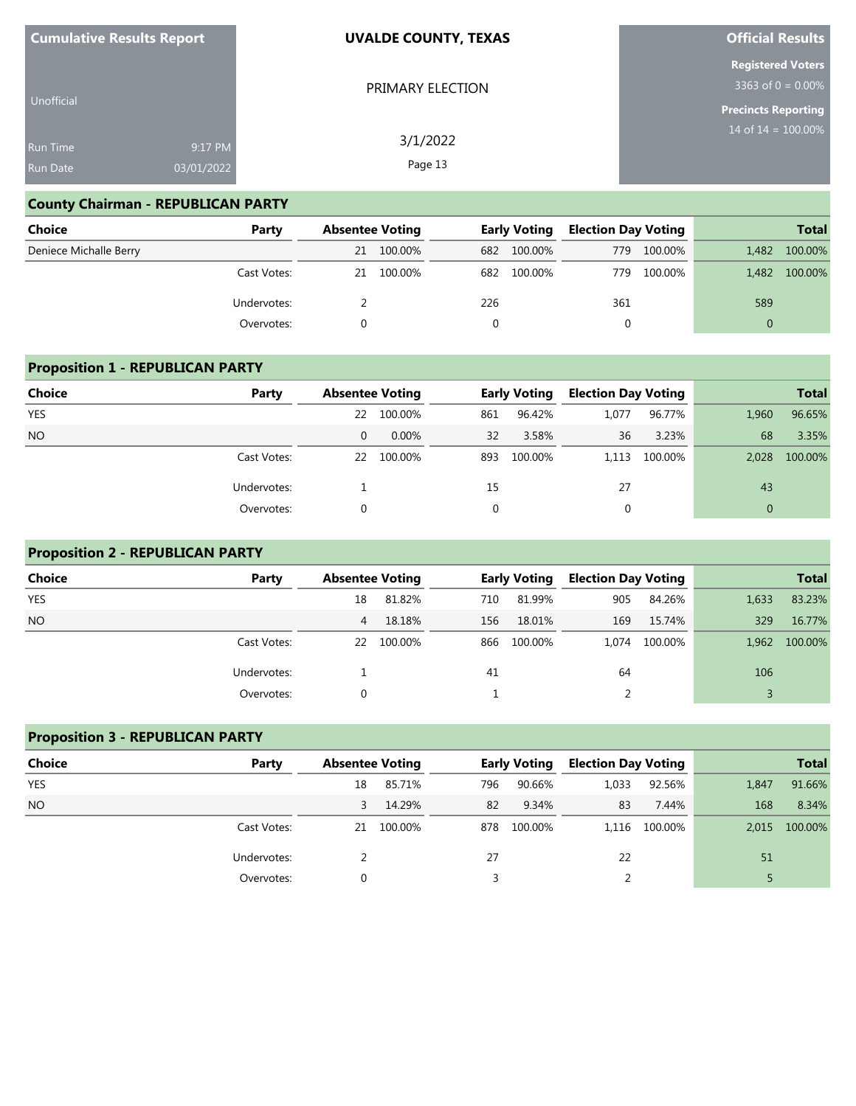| <b>Cumulative Results Report</b> |            | <b>UVALDE COUNTY, TEXAS</b> | <b>Official Results</b>                          |
|----------------------------------|------------|-----------------------------|--------------------------------------------------|
|                                  |            | PRIMARY ELECTION            | <b>Registered Voters</b><br>3363 of $0 = 0.00\%$ |
| Unofficial                       |            |                             | <b>Precincts Reporting</b>                       |
| <b>Run Time</b>                  | 9:17 PM    | 3/1/2022<br>Page 13         | 14 of $14 = 100.00\%$                            |
| <b>Run Date</b>                  | 03/01/2022 |                             |                                                  |

## **County Chairman - REPUBLICAN PARTY**

| <b>Choice</b>          | Party       |    | <b>Absentee Voting</b> |     | <b>Early Voting</b> |     | <b>Election Day Voting</b> |          | <b>Total</b> |
|------------------------|-------------|----|------------------------|-----|---------------------|-----|----------------------------|----------|--------------|
| Deniece Michalle Berry |             | 21 | 100.00%                | 682 | 100.00%             | 779 | 100.00%                    | 1.482    | 100.00%      |
|                        | Cast Votes: | 21 | 100.00%                | 682 | 100.00%             | 779 | 100.00%                    | 1.482    | 100.00%      |
|                        | Undervotes: |    |                        | 226 |                     | 361 |                            | 589      |              |
|                        | Overvotes:  |    |                        |     |                     |     |                            | $\Omega$ |              |

## **Proposition 1 - REPUBLICAN PARTY**

| <b>Choice</b> | Party       | <b>Absentee Voting</b> |         |     | <b>Early Voting</b> | <b>Election Day Voting</b> |         |              | <b>Total</b> |
|---------------|-------------|------------------------|---------|-----|---------------------|----------------------------|---------|--------------|--------------|
| <b>YES</b>    |             | 22                     | 100.00% | 861 | 96.42%              | 1,077                      | 96.77%  | 1,960        | 96.65%       |
| <b>NO</b>     |             | $\Omega$               | 0.00%   | 32  | 3.58%               | 36                         | 3.23%   | 68           | 3.35%        |
|               | Cast Votes: | 22                     | 100.00% | 893 | 100.00%             | 1.113                      | 100.00% | 2.028        | 100.00%      |
|               | Undervotes: |                        |         | 15  |                     | 27                         |         | 43           |              |
|               | Overvotes:  |                        |         | 0   |                     | 0                          |         | $\mathbf{0}$ |              |

#### **Proposition 2 - REPUBLICAN PARTY**

| Choice     | Party       | <b>Absentee Voting</b> |         |     | <b>Early Voting</b> | <b>Election Day Voting</b> |         |       | <b>Total</b> |
|------------|-------------|------------------------|---------|-----|---------------------|----------------------------|---------|-------|--------------|
| <b>YES</b> |             | 18                     | 81.82%  | 710 | 81.99%              | 905                        | 84.26%  | 1,633 | 83.23%       |
| <b>NO</b>  |             | 4                      | 18.18%  | 156 | 18.01%              | 169                        | 15.74%  | 329   | 16.77%       |
|            | Cast Votes: | 22                     | 100.00% | 866 | 100.00%             | 1.074                      | 100.00% | 1.962 | 100.00%      |
|            | Undervotes: |                        |         | 41  |                     | 64                         |         | 106   |              |
|            | Overvotes:  |                        |         |     |                     |                            |         |       |              |

#### **Proposition 3 - REPUBLICAN PARTY**

| Choice     | Party       | <b>Absentee Voting</b> |         |     | <b>Early Voting</b> | <b>Election Day Voting</b> |               |       | <b>Total</b> |
|------------|-------------|------------------------|---------|-----|---------------------|----------------------------|---------------|-------|--------------|
| <b>YES</b> |             | 18                     | 85.71%  | 796 | 90.66%              | 1,033                      | 92.56%        | 1,847 | 91.66%       |
| <b>NO</b>  |             | 3                      | 14.29%  | 82  | 9.34%               | 83                         | 7.44%         | 168   | 8.34%        |
|            | Cast Votes: | 21                     | 100.00% | 878 | 100.00%             |                            | 1.116 100.00% | 2.015 | 100.00%      |
|            | Undervotes: |                        |         | 27  |                     | 22                         |               | 51    |              |
|            | Overvotes:  |                        |         |     |                     |                            |               |       |              |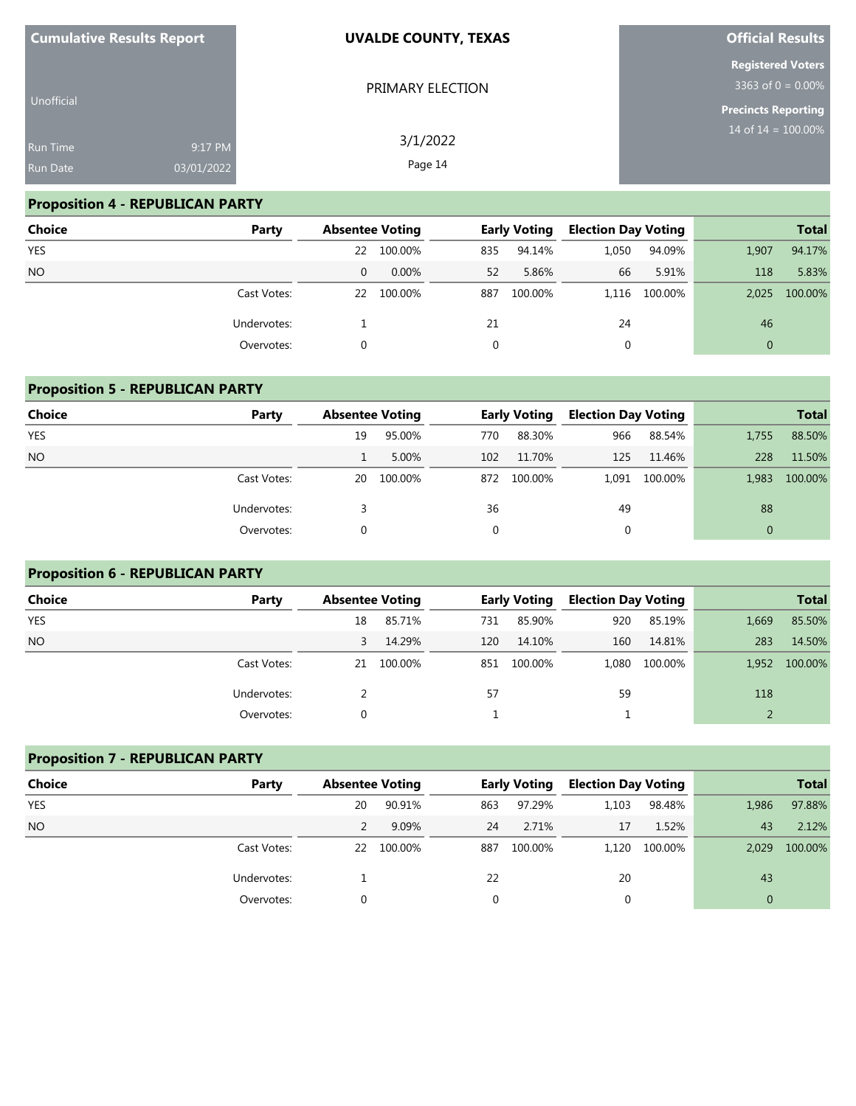| <b>Cumulative Results Report</b> |            | <b>UVALDE COUNTY, TEXAS</b> | <b>Official Results</b>                          |  |  |
|----------------------------------|------------|-----------------------------|--------------------------------------------------|--|--|
| Unofficial                       |            | PRIMARY ELECTION            | <b>Registered Voters</b><br>3363 of $0 = 0.00\%$ |  |  |
|                                  |            |                             | <b>Precincts Reporting</b>                       |  |  |
| <b>Run Time</b>                  | 9:17 PM    | 3/1/2022                    | 14 of $14 = 100.00\%$                            |  |  |
| <b>Run Date</b>                  | 03/01/2022 | Page 14                     |                                                  |  |  |

# **Proposition 4 - REPUBLICAN PARTY**

| <b>Choice</b> | Party       | <b>Absentee Voting</b> |         |     | <b>Early Voting</b> | <b>Election Day Voting</b> |               |                | <b>Total</b> |
|---------------|-------------|------------------------|---------|-----|---------------------|----------------------------|---------------|----------------|--------------|
| <b>YES</b>    |             | 22                     | 100.00% | 835 | 94.14%              | 1,050                      | 94.09%        | 1,907          | 94.17%       |
| <b>NO</b>     |             | $\mathbf{0}$           | 0.00%   | 52  | 5.86%               | 66                         | 5.91%         | 118            | 5.83%        |
|               | Cast Votes: | 22                     | 100.00% | 887 | 100.00%             |                            | 1,116 100.00% | 2.025          | 100.00%      |
|               | Undervotes: |                        |         | 21  |                     | 24                         |               | 46             |              |
|               | Overvotes:  |                        |         |     |                     | 0                          |               | $\overline{0}$ |              |

|               | <b>Proposition 5 - REPUBLICAN PARTY</b> |                        |         |     |                     |                            |         |              |              |  |  |
|---------------|-----------------------------------------|------------------------|---------|-----|---------------------|----------------------------|---------|--------------|--------------|--|--|
| <b>Choice</b> | Party                                   | <b>Absentee Voting</b> |         |     | <b>Early Voting</b> | <b>Election Day Voting</b> |         |              | <b>Total</b> |  |  |
| <b>YES</b>    |                                         | 19                     | 95.00%  | 770 | 88.30%              | 966                        | 88.54%  | 1.755        | 88.50%       |  |  |
| <b>NO</b>     |                                         |                        | 5.00%   | 102 | 11.70%              | 125                        | 11.46%  | 228          | 11.50%       |  |  |
|               | Cast Votes:                             | 20                     | 100.00% |     | 872 100.00%         | 1.091                      | 100.00% | 1.983        | 100.00%      |  |  |
|               | Undervotes:                             |                        |         | 36  |                     | 49                         |         | 88           |              |  |  |
|               | Overvotes:                              |                        |         | 0   |                     | 0                          |         | $\mathbf{0}$ |              |  |  |

# **Proposition 6 - REPUBLICAN PARTY**

| Choice     | Party       | <b>Absentee Voting</b> |         |     | <b>Early Voting</b> | <b>Election Day Voting</b> |               |       | <b>Total</b> |
|------------|-------------|------------------------|---------|-----|---------------------|----------------------------|---------------|-------|--------------|
| <b>YES</b> |             | 18                     | 85.71%  | 731 | 85.90%              | 920                        | 85.19%        | 1,669 | 85.50%       |
| <b>NO</b>  |             | 3                      | 14.29%  | 120 | 14.10%              | 160                        | 14.81%        | 283   | 14.50%       |
|            | Cast Votes: | 21                     | 100.00% | 851 | 100.00%             |                            | 1,080 100.00% | 1,952 | 100.00%      |
|            | Undervotes: |                        |         | 57  |                     | 59                         |               | 118   |              |
|            | Overvotes:  |                        |         |     |                     |                            |               |       |              |

| <b>Proposition 7 - REPUBLICAN PARTY</b> |             |                        |         |                     |         |                            |         |              |              |  |
|-----------------------------------------|-------------|------------------------|---------|---------------------|---------|----------------------------|---------|--------------|--------------|--|
| <b>Choice</b>                           | Party       | <b>Absentee Voting</b> |         | <b>Early Voting</b> |         | <b>Election Day Voting</b> |         |              | <b>Total</b> |  |
| <b>YES</b>                              |             | 20                     | 90.91%  | 863                 | 97.29%  | 1,103                      | 98.48%  | 1,986        | 97.88%       |  |
| <b>NO</b>                               |             |                        | 9.09%   | 24                  | 2.71%   | 17                         | 1.52%   | 43           | 2.12%        |  |
|                                         | Cast Votes: | 22                     | 100.00% | 887                 | 100.00% | 1.120                      | 100.00% | 2.029        | 100.00%      |  |
|                                         | Undervotes: |                        |         | 22                  |         | 20                         |         | 43           |              |  |
|                                         | Overvotes:  |                        |         |                     |         | $\mathbf{0}$               |         | $\mathbf{0}$ |              |  |